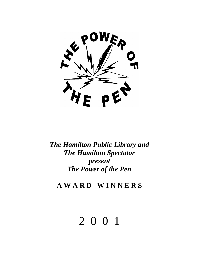

*The Hamilton Public Library and The Hamilton Spectator present The Power of the Pen* 

**A W A R D W I N N E R S**

# 2 0 0 1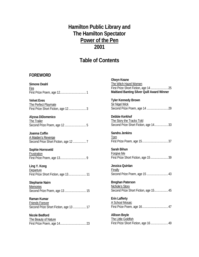# **Hamilton Public Library and The Hamilton Spectator Power of the Pen 2001**

# **Table of Contents**

#### **FOREWORD**

| Simone Deahl                                                                 |
|------------------------------------------------------------------------------|
| Fire                                                                         |
| <b>Velvet Eves</b>                                                           |
| The Perfect Playmate<br>First Prize Short Fiction, age 12 3                  |
| Alyssa DiDomenico<br><b>The Trailer</b>                                      |
| Joanna Coffin<br>A Maiden's Revenge<br>Second Price Short Fiction, age 12  7 |
| Sophie Hornsveld<br><b>Frustration</b>                                       |
| Ling Y. Kong<br><b>Departure</b><br>First Prize Short Fiction, age 13 11     |
| Stephanie Nairn<br><b>Memories</b><br>Second Prize Poem, age 13 15           |
| Raman Kumar<br>Friends Forever<br>Second Prize Short Fiction, age 13  17     |
| Nicole Bedford<br>The Beauty of Nature                                       |

**Olwyn Keane**  The Witch Hazel Women First Prize Short Fiction, age 14.......................25 **Maitland Banting Silver Quill Award Winner Tyler Kennedy Brown**  Sir Nigel Wick Second Prize Poem, age 14 ............................29 **Debbie Kerkhof**  The Story the Tracks Told Second Prize Short Fiction, age 14....................33 **Sandra Jenkins**  Torn First Prize Poem, age 15..................................37 **Sarah Bihun**  Forgive Me First Prize Short Fiction, age 15.......................39 **Jessica Quinlan**  Finally Second Prize Poem, age 15 ............................43 **Breghan Paterson** Nichole's Story Second Prize Short Fiction, age 15.................. 45 **Erin Lafferty**  A School Mosaic First Prize Poem, age 16..................................47 **Allison Boyle**  The Little Goldfish First Prize Short Fiction, age 16.......................49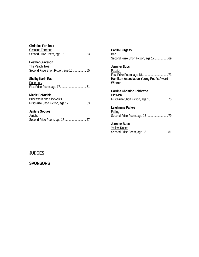| <b>Christine Forshner</b><br>Occultus Terrenus                                      |  |
|-------------------------------------------------------------------------------------|--|
| <b>Heather Olaveson</b><br>The Peach Tree<br>Second Prize Short Fiction, age 16  55 |  |
| <b>Shelby Karin Rae</b><br>Rosemary                                                 |  |
| Nicole DeRushie<br><b>Brick Walls and Sidewalks</b>                                 |  |

**Jentine Gootjes Jericho** Second Prize Poem, age 17 ............................ 67

**Caitlin Burgess**  Ben Second Prize Short Fiction, age 17..................... 69 **Jennifer Bucci**  Passion First Prize Poem, age 18..................................73 **Hamilton Association Young Poet's Award Winner Corrina Christine Lobbezoo**  Dirt Rich First Prize Short Fiction, age 18.......................75 **Leighanne Parkes Falling** Second Prize Poem, age 18 ............................79 **Jennifer Bucci** 

Yellow Roses Second Prize Poem, age 18 ............................81

#### **JUDGES**

**SPONSORS**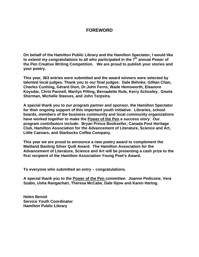#### **FOREWORD**

**On behalf of the Hamilton Public Library and the Hamilton Spectator, I would like**  to extend my congratulations to all who participated in the 7<sup>th</sup> annual Power of **the Pen Creative Writing Competition. We are proud to publish your stories and your poetry.** 

**This year, 363 entries were submitted and the award winners were selected by talented local judges. Thank you to our final judges: Dale Behnke, Gillian Chan, Charles Cushing, Gérard Dion, Dr.John Ferns, Wade Hemsworth, Eleanore Koysdar, Chris Pannell, Marilyn Pilling, Bernadette Rule, Kerry Schooley, Gisela Sherman, Michelle Steeves, and John Terpstra.** 

**A special thank you to our program partner and sponsor, the Hamilton Spectator for their ongoing support of this important youth initiative. Libraries, school boards, members of the business community and local community organizations have worked together to make the Power of the Pen a success story. Our program contributors include: Bryan Prince Bookseller, Canada Post Heritage Club, Hamilton Association for the Advancement of Literature, Science and Art, Little Caesars, and Starbucks Coffee Company.** 

**This year we are proud to announce a new poetry award to complement the Maitland Banting Silver Quill Award. The Hamilton Association for the Advancement of Literature, Science and Art will be presenting a cash prize to the first recipient of the Hamilton Association Young Poet's Award.** 

**To everyone who submitted an entry – congratulations.** 

**A special thank you to the Power of the Pen committee: Joanne Pedicone, Vera Szabo, Usha Rangachari, Theresa McCabe, Dale Ilijow and Karen Hartog.** 

**Helen Benoit Service Youth Coordinator Hamilton Public Library**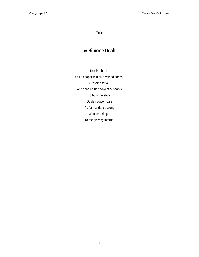# **Fire**

# **by Simone Deahl**

The fire thrusts Out its paper-thin blue-veined hands, Grasping for air And sending up showers of sparks To burn the stars. Golden power roars As flames dance along Wooden bridges To the glowing inferno.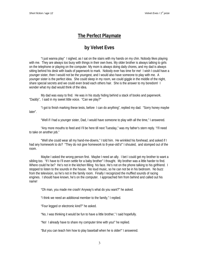# **The Perfect Playmate**

# **by Velvet Eves**

"I just wanna play" I sighed, as I sat on the stairs with my hands on my chin. Nobody likes playing with me. They are always too busy with things in their own lives. My older brother is always talking to girls on the telephone or playing on the computer. My mom is always doing daily chores, and my dad is always sitting behind his desk with loads of paperwork to mark. Nobody ever has time for me! I wish I could have a younger sister, then I would not be the youngest, and I would also have someone to play with me. A younger sister is the perfect idea. She could sleep in my room, we could giggle in the middle of the night, share special secrets and we could even braid each others hair. She is the answer to my boredom! I wonder what my dad would think of the idea.

My dad was easy to find. He was in his study hiding behind a stack of books and paperwork. "Daddy", I said in my sweet little voice. "Can we play?"

"I got to finish marking these tests, before I can do anything", replied my dad. "Sorry honey maybe later".

"Well if I had a younger sister, Dad, I would have someone to play with all the time," I answered.

"Any more mouths to feed and I'll be here till next Tuesday," was my father's stern reply. "I'll need to take on another job."

"Well she could wear all my hand-me-downs," I told him. He wrinkled his forehead, and asked if I had any homework to do? "They do not give homework to 8-year-old's!" I shouted, and stomped out of the room.

Maybe I asked the wrong person first. Maybe I need an ally. I bet I could get my brother to want a sibling too. "If I have to I'll even settle for a baby brother" I thought. My brother was a little harder to find. Where could he be? He's not in the kitchen filling his face. He's not on the phone talking to his girlfriend. I stopped to listen to the sounds in the house. No loud music, so he can not be in his bedroom. No buzz from the television, so he's not in the family room. Finally I recognized the muffled sounds of racing engines. I should have known, he's on the computer. I approached him from behind and called out his name!

"Oh man, you made me crash! Anyway's what do you want?" he asked.

"I think we need an additional member to the family," I replied.

"Four legged or electronic kind?" he asked.

"No, I was thinking it would be fun to have a little brother," I said hopefully.

"No! I already have to share my computer time with you!" he replied.

"But you can teach him how to play baseball when he is older!" I answered.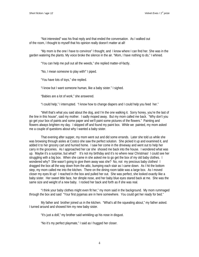"Not interested" was his final reply and that ended the conversation. As I walked out of the room, I thought to myself that his opinion really doesn't matter at all!

"My mom is the one I have to convince" I thought, and I know where I can find her. She was in the garden watering the plants. My voice broke the silence in the air. "Mom, I have nothing to do," I whined.

"You can help me pull out all the weeds," she replied matter-of-factly.

"No, I mean someone to play with!" I piped.

"You have lots of toys," she replied.

"I know but I want someone human, like a baby sister." I sighed.

"Babies are a lot of work," she answered.

"I could help," I interrupted. "I know how to change diapers and I could help you feed her."

"Well that's what you said about the dog, and I'm the one walking it. Sorry honey, you're the last of the line in this house", said my mother. I sadly moped away. But my mom called me back. "Why don't you go get your box of paints and some paper and we'll paint some pictures of the flowers." Painting and flowers always brighten my day. I skipped off and found my paint box. While we painted, my mom asked me a couple of questions about why I wanted a baby sister.

That evening after supper, my mom went out and did some errands. Later she told us while she was browsing through aisles at Costco she saw the perfect solution. She picked it up and examined it, and added it to her grocery cart and hurried home. I saw her come in the driveway and went out to help her carry in the groceries. As I approached her car she shooed me back into the house. I wondered what was up. Maybe it's a surprise, but what? It's not my birthday and it's no where near Christmas! I could see her struggling with a big box. When she came in she asked me to go get the box of my old baby clothes. I wondered why? She wasn't going to give them away was she? No, not my precious baby clothes! I dragged the box all the way down from the attic, bumping each stair as I came down. As I hit the bottom step, my mom called me into the kitchen. There on the dining room table was a large box. As I moved closer my eyes lit up! I reached in the box and pulled her out. She was perfect, she looked exactly like a baby sister. Her sweet little face, her dimple nose, and her baby blue eyes stared back at me. She was the same size and weight of a new baby. I rocked her back and forth as if she was real.

"I think your baby clothes might even fit her," my mom said in the background. My mom rummaged through the box and said "Your first pyjamas are in here somewhere. You could get her ready for bed."

My father and brother joined us in the kitchen. "What's all the squealing about," my father asked. I turned around and showed him my new baby sister.

"It's just a doll," my brother said wrinkling up his nose in disgust.

"No it's my perfect playmate," I said as I hugged her closer.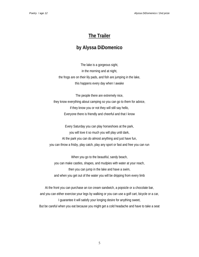# **The Trailer**

## **by Alyssa DiDomenico**

The lake is a gorgeous sight, in the morning and at night, the frogs are on their lily pads, and fish are jumping in the lake, this happens every day when I awake

The people there are extremely nice, they know everything about camping so you can go to them for advice, if they know you or not they will still say hello, Everyone there is friendly and cheerful and that I know

Every Saturday you can play horseshoes at the park, you will love it so much you will play until dark, At the park you can do almost anything and just have fun, you can throw a frisby, play catch, play any sport or fast and free you can run

When you go to the beautiful, sandy beach, you can make castles, shapes, and mudpies with water at your reach, then you can jump in the lake and have a swim, and when you get out of the water you will be dripping from every limb

At the front you can purchase an ice cream sandwich, a popsicle or a chocolate bar, and you can either exercise your legs by walking or you can use a golf cart, bicycle or a car, I guarantee it will satisfy your longing desire for anything sweet, But be careful when you eat because you might get a cold headache and have to take a seat

5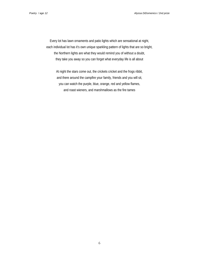Every lot has lawn ornaments and patio lights which are sensational at night, each individual lot has it's own unique sparkling pattern of lights that are so bright, the Northern lights are what they would remind you of without a doubt, they take you away so you can forget what everyday life is all about

At night the stars come out, the crickets cricket and the frogs ribbit, and there around the campfire your family, friends and you will sit, you can watch the purple, blue, orange, red and yellow flames, and roast wieners, and marshmallows as the fire tames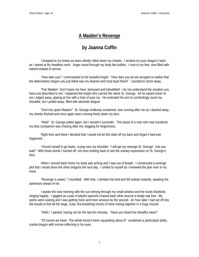# **A Maiden's Revenge**

# **by Joanna Coffin**

I dropped to my knees as tears silently rolled down my cheeks. I stroked my poor dragon's back as I stared at his headless neck. Anger raced through my body like bullets. I rose to my feet, now filled with hatred instead of sorrow.

"How dare you!" I commanded to the boastful knight. "How dare you be too arrogant to realize that the defenseless dragon you just killed was my dearest and most loyal friend". I pivoted to storm away.

"Fair Maiden! Don't leave me here, bemused and befuddled! I do not understand the situation you have just described to me," explained the knight who carried the name St. George. As he eased closer to me I edged away, glaring at him with a look of pure ice. He extended his arm to comfortingly touch my shoulder, but I pulled away, filled with absolute disgust.

"Don't be upset Maiden!" St. George endlessly exclaimed, now running after me as I dashed away, my cheeks flushed and once again tears running freely down my face.

"Wait!" St. George yelled again, but I wouldn't surrender. This beast of a man who had murdered my best companion was chasing after me, begging for forgiveness.

Right then and there I decided that I would not let this slide off my back and forget it had ever happened.

I forced myself to go faster, crying over my shoulder, "I will get my revenge St. George! Just you wait!" With those words I hurried off, not even looking back to see the uneasy expression on St. George's face.

When I arrived back home my body was aching and I was out of breath. I constructed a revenge plot that I would show the other dragons the next day. I smiled to myself as I reviewed the plan over in my mind.

"Revenge is sweet," I mumbled. With that, I climbed into bed and fell asleep instantly, awaiting the adventure ahead of me.

I awoke the next morning with the sun shining through my small window and the lovely bluebirds singing happily. I giggled as a pair of playful squirrels chased each other around a shady oak tree. My spirits were soaring and I was getting more and more anxious by the second. An hour later I had set off into the woods to find all the large, scaly, fire-breathing chums of mine resting together in a huge mound.

"Hello," I panted, having ran for the last ten minutes. "Have you heard the dreadful news?'

"Of course we have! The whole forest's been squawking about it!" exclaimed a particularly bulky, scarlet dragon with sorrow reflecting in his eyes.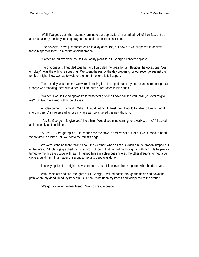"Well, I've got a plan that just may terminate our depression," I remarked. All of their faces lit up and a smaller, yet elderly looking dragon rose and advanced closer to me.

"The news you have just presented us is a joy of course, but how are we supposed to achieve these responsibilities?" asked the ancient dragon.

"Gather 'round everyone as I tell you of my plans for St. George," I cheered gladly.

The dragons and I huddled together and I unfolded my goals for us. Besides the occasional "yes" or "okay" I was the only one speaking. We spent the rest of the day preparing for our revenge against the terrible knight. Now we had to wait for the right time for this to happen.

The next day was the time we were all hoping for. I stepped out of my house and sure enough, St. George was standing there with a beautiful bouquet of red roses in his hands.

"Maiden, I would like to apologize for whatever grieving I have caused you. Will you ever forgive me?" St. George asked with hopeful eyes.

An idea came to my mind. What if I could get him to trust me? I would be able to lure him right into our trap. A smile spread across my face as I considered this new thought.

"Yes St. George. I forgive you," I told him. "Would you mind coming for a walk with me?" I asked as innocently as I could be.

"Sure!" St. George replied. He handed me the flowers and we set out for our walk, hand-in-hand. We trekked in silence until we got to the forest's edge.

We were standing there talking about the weather, when all of a sudden a huge dragon jumped out of the forest. St. George grabbed for his sword, but found that he had not brought it with him. He helplessly turned to me, his eyes wide with fear. I flashed him a mischievous smile as the other dragons formed a tight circle around him. In a matter of seconds, the dirty deed was done.

In a way I pitied the knight that was no more, but still believed he had gotten what he deserved.

With those last and final thoughts of St. George, I walked home through the fields and down the path where my dead friend lay beneath us. I bent down upon my knees and whispered to the ground.

"We got our revenge dear friend. May you rest in peace."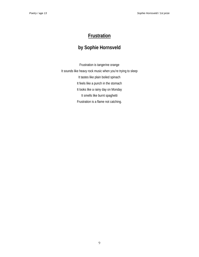# **Frustration**

# **by Sophie Hornsveld**

Frustration is tangerine orange It sounds like heavy rock music when you're trying to sleep It tastes like plain boiled spinach It feels like a punch in the stomach It looks like a rainy day on Monday It smells like burnt spaghetti Frustration is a flame not catching.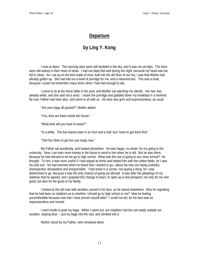## **Departure**

# **by Ling Y. Kong**

I rose at dawn. The morning stars were still studded in the sky, and it was not yet light. The hens were still asleep in their nests of straw. I had not slept that well during the night, because my head was too full to sleep. As I sat up on the bed made of mud, built into the dirt floor of our hut, I saw that Mother had already gotten up. She had laid out a bowl of porridge for me, and a steamed bun. This was a treat, because I could not remember many times when I had had enough to eat.

I came to sit at the stone table in the yard, and Mother sat watching me silently. Her hair was already white, and she said not a word. I drank the porridge and gobbled down my breakfast in a moment. By now, Father had risen also, and came to sit with us. His face was grim and expressionless, as usual.

"Are your bags all packed?" Mother asked.

"Yes, they are there inside the house."

"What time will you have to leave?"

"In a while. The bus leaves town in an hour and a half, but I have to get there first."

"Tell Fan-Shen to get the cart ready now."

My Father sat wordlessly, and looked elsewhere. He was happy, no doubt, for my going to the university. Now I can earn more money in the future to send to him when he is old. But he was silent, because he had refused to let me go to high school. What was the use of going to any more school? He thought. To him, it was more useful if I had stayed at home and helped him with the cotton fields, for I was his only son. He had stormed when he heard that I wished to go—about his only son being undutiful, disrespectful, disobedient and irresponsible. I had stood in a corner, not saying a thing, for I was determined to go, because it was the only chance of going out abroad. It was after the pleadings of my relatives that he agreed, and I grasped this change to learn, to open up a new prospect, not only for my own good, but also for the good of my family.

I looked at the old man with wrinkles carved in his face, as he stared elsewhere. Was he regretting that he had been so stubborn as to whether I should go to high school or not? Was he feeling uncomfortable because now that I have proven myself able? I could not tell, for his face was so expressionless and neutral.

I went inside to grab my bags. When I came out, our neighbor had the cart ready outside our wooden, rasping door. I put my bags into the cart, and climbed into it.

Mother stood by my Father, who remained silent.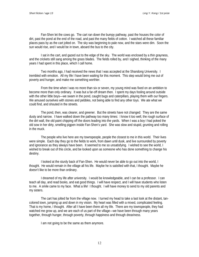Fan-Shen let the cows go. The cart ran down the bumpy pathway, past the houses the color of dirt, past the pond at the end of the road, and past the many fields of cotton. I watched all these familiar places pass by as the cart jolted on. The sky was beginning to pale now, and the stars were dim. Soon the sun would rise, and I would be in town, aboard the bus to the city.

I sat in the cart, and gazed out to the edge of the sky. The world was enclosed by a thin grayness, and the crickets still sang among the grass blades. The fields rolled by, and I sighed, thinking of the many years I had spent in this place, which I call home.

Two months ago, I had received the news that I was accepted at the Shandong University. I trembled with emotion. All my life I have been waiting for this moment. This step would bring me out of poverty and hunger, and make me something worthier.

From the time when I was no more than six or seven, my young mind was fixed on an ambition to become more than only ordinary. It was but a far-off dream then. I spent my days fooling around outside with the other little boys—we swam in the pond, caught bugs and caterpillars, playing them with our fingers. We amused ourselves with stones and pebbles, not being able to find any other toys. We ate what we could find, and shouted in the streets.

The pond, then, was clearer, and greener. But the streets have not changed: They are the same dusty and narrow. I have walked down the pathway too many times: I know it too well, the rough surface of the dirt wall, the old paint chipping off the doors leading into the yards. When I was a boy I had poked the old sow in her dirty, smelling pigpen inside Fan-Shen's yard. She was slow and stupid, grunting and rolling in the muck.

The people who live here are my townspeople, people the closest to me in this world. Their lives were simple. Each day they go to the fields to work, from dawn until dusk, and live surrounded by poverty and ignorance as they always have been. It seemed to me so unsatisfying. I wished to see the world, I wished to break out of this circle, and be looked upon as someone who has done something to change his destiny.

I looked at the sturdy back of Fan-Shen. He would never be able to go out into the world, I thought. He would remain in the village all his life. Maybe he is satisfied with that, I thought. Maybe he doesn't like to be more than ordinary.

I dreamed of my life after university. I would be knowledgeable, and I can be a professor. I can teach all day, and read books, and eat good things. I will have respect, and I will have students who listen to me. A smile came to my face. What a life! I thought. I will have money to send to my old parents and my sisters.

The cart has jolted far from the village now. I turned my head to take a last look at the distant, tancolored town, jumping up and down in my vision. My heart was filled with a mixed, complicated feeling. That is my home, I thought. After all I have been there all my life. There are my townspeople, they had watched me grow up, and we are each of us part of the village—we have been through many years together, through hunger, through poverty, through happiness and through dreariness.

I am not going to be the same as them anymore.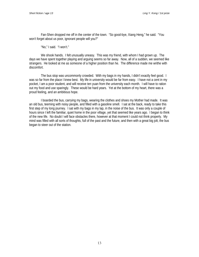Fan-Shen dropped me off in the center of the town. "So good-bye, Xiang Heng," he said. "You won't forget about us poor, ignorant people will you?"

"No," I said. "I won't."

We shook hands. I felt unusually uneasy. This was my friend, with whom I had grown up. The days we have spent together playing and arguing seems so far away. Now, all of a sudden, we seemed like strangers. He looked at me as someone of a higher position than he. The difference made me writhe with discomfort.

The bus stop was uncommonly crowded. With my bags in my hands, I didn't exactly feel good. I was so far from the place I knew best. My life in university would be far from easy. I have not a cent in my pocket, I am a poor student, and will receive ten yuan from the university each month. I will have to ration out my food and use sparingly. These would be hard years. Yet at the bottom of my heart, there was a proud feeling, and an ambitious hope.

I boarded the bus, carrying my bags, wearing the clothes and shoes my Mother had made. It was an old bus, teeming with noisy people, and filled with a gasoline smell. I sat at the back, ready to take this first step of my long journey. I sat with my bags in my lap, in the noise of the bus. It was only a couple of hours since I left the familiar, quiet home in the poor village, yet that seemed like years ago. I began to think of the new life. No doubt I will face obstacles there, however at that moment I could not think properly. My mind was filled with all sorts of thoughts, full of the past and the future, and then with a great big jolt, the bus began to steer out of the station.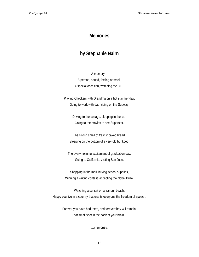#### **Memories**

## **by Stephanie Nairn**

A memory… A person, sound, feeling or smell, A special occasion, watching the CFL.

Playing Checkers with Grandma on a hot summer day, Going to work with dad, riding on the Subway.

> Driving to the cottage, sleeping in the car. Going to the movies to see Superstar.

The strong smell of freshly baked bread, Sleeping on the bottom of a very old bunkbed.

The overwhelming excitement of graduation day, Going to California, visiting San Jose.

Shopping in the mall, buying school supplies, Winning a writing contest, accepting the Nobel Prize.

Watching a sunset on a tranquil beach, Happy you live in a country that grants everyone the freedom of speech.

> Forever you have had them, and forever they will remain, That small spot in the back of your brain…

> > …memories.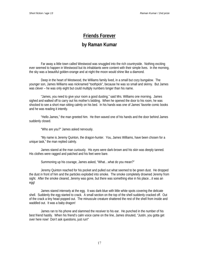# **Friends Forever**

## **by Raman Kumar**

Far away a little town called Westwood was snuggled into the rich countryside. Nothing exciting ever seemed to happen in Westwood but its inhabitants were content with their simple lives. In the morning, the sky was a beautiful golden-orange and at night the moon would shine like a diamond.

Deep in the heart of Westwood, the Williams family lived, in a small but cozy bungalow. The younger son, James Williams was nicknamed "toothpick", because he was so small and skinny. But James was clever – he was only eight but could multiply numbers longer than his name.

"James, you need to give your room a good dusting." said Mrs. Williams one morning. James sighed and walked off to carry out his mother's bidding. When he opened the door to his room, he was shocked to see a short man sitting calmly on his bed. In his hands was one of James' favorite comic books and he was reading it intently.

"Hello James," the man greeted him. He then waved one of his hands and the door behind James suddenly closed.

"Who are you?" James asked nervously.

"My name is Jeremy Quinton, the dragon-hunter. You, James Williams, have been chosen for a unique task," the man replied calmly.

James stared at the man curiously. His eyes were dark-brown and his skin was deeply tanned. His clothes were ragged and patched and his feet were bare.

Summoning up his courage, James asked, "What…what do you mean?"

Jeremy Quinton reached for his pocket and pulled out what seemed to be green dust. He dropped the dust in front of him and the particles exploded into smoke. The smoke completely drowned Jeremy from sight. After the smoke cleared, Jeremy was gone, but there was something else in his place…it was an egg!

James stared intensely at the egg. It was dark-blue with little white spots covering the delicate shell. Suddenly the egg started to crack. A small section on the top of the shell suddenly cracked off. Out of the crack a tiny head popped out. The minuscule creature shattered the rest of the shell from inside and waddled out. It was a baby dragon!

James ran to his phone and slammed the receiver to his ear. He punched in the number of his best friend hastily. When his friend's calm voice came on the line, James shouted, "Justin, you gotta get over here now! Don't ask questions, just run!"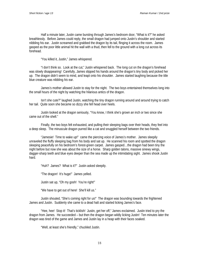Half a minute later, Justin came bursting through James's bedroom door, "What is it?" he asked breathlessly. Before James could reply, the small dragon had jumped onto Justin's shoulder and started nibbling his ear. Justin screamed and grabbed the dragon by its tail, flinging it across the room. James gasped as the poor little animal hit the wall with a thud, then fell to the ground with a long cut across its forehead.

"You killed it, Justin," James whispered.

"I don't think so. Look at the cut," Justin whispered back. The long cut on the dragon's forehead was slowly disappearing! Carefully, James slipped his hands around the dragon's tiny body and picked her up. The dragon didn't seem to mind, and leapt onto his shoulder. James started laughing because the title blue creature was nibbling *his* ear.

James's mother allowed Justin to stay for the night. The two boys entertained themselves long into the small hours of the night by watching the hilarious antics of the dragon.

Isn't she cute?" laughed Justin, watching the tiny dragon running around and around trying to catch her tail. Quite soon she became so dizzy she fell head over heels.

Justin looked at the dragon seriously, "You know, I think she's grown an inch or two since she came out of the shell."

Finally, the two boys felt exhausted, and pulling their sleeping bags over their heads, they feel into a deep sleep. The minuscule dragon purred like a cat and snuggled herself between the two friends.

"Jamesie! Time to wake up!" came the piercing voice of James's mother. James sleepily unraveled the fluffy sleeping bag from his body and sat up. He scanned his room and spotted the dragon sleeping peacefully on his bedroom's forest-green carpet. James gasped…the dragon had been tiny the night before but now she was about the size of a horse. Sharp golden talons, massive sinewy wings, dagger-sharp teeth and blue eyes deeper than the sea made up the intimidating sight. James shook Justin hard.

"Huh? James? What is it?" Justin asked sleepily.

"The dragon! It's huge!" James yelled.

Justin sat up, "Oh my gosh! You're right!"

"We have to get out of here! She'll kill us."

Justin shouted, "She's coming right for us!" The dragon was bounding towards the frightened James and Justin. Suddenly she came to a dead halt and started licking James's face.

"Hee, hee! Stop it! That's ticklish! Justin, get her off," James exclaimed. Justin tried to pry the dragon from James. He succeeded – but then the dragon began wildly licking Justin! Ten minutes later the dragon was tired of the game and James and Justin lay in a heap with their faces soaked.

"Well, at least she's friendly," chuckled Justin.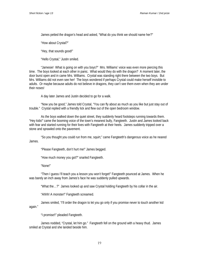James petted the dragon's head and asked, "What do you think we should name her?"

"How about Crystal?"

"Hey, that sounds good!"

"Hello Crystal," Justin smiled.

"Jamesie! What is going on with you boys?" Mrs. Williams' voice was even more piercing this time. The boys looked at each other in panic. What would they do with the dragon? A moment later, the door burst open and in came Mrs. Williams. Crystal was standing right there between the two boys. But Mrs. Williams did not even see her! The boys wondered if perhaps Crystal could make herself invisible to adults. Or maybe because adults do not believe in dragons, they can't see them even when they are under their noses!

A day later James and Justin decided to go for a walk.

"Now you be good," James told Crystal, "You can fly about as much as you like but just stay out of trouble." Crystal replied with a friendly lick and flew out of the open bedroom window.

As the boys walked down the quiet street, they suddenly heard footsteps running towards them. "Hey kids!" came the booming voice of the town's meanest bully, Fangteeth. Justin and James looked back with fear and started running for their lives with Fangteeth at their heels. James suddenly tripped over a stone and sprawled onto the pavement.

"So you thought you could run from me, squirt," came Fangteeth's dangerous voice as he neared James.

"Please Fangteeth, don't hurt me!" James begged.

"How much money you got?" snarled Fangteeth.

"None!"

"Then I guess I'll teach you a lesson you won't forget!" Fangteeth pounced at James. When he was barely an inch away from James's face he was suddenly pulled upwards.

"What the…?" James looked up and saw Crystal holding Fangteeth by his collar in the air.

"Ahhh! A monster!" Fangteeth screamed.

James smiled, "I'll order the dragon to let you go only if you promise never to touch another kid again."

"I promise!!" pleaded Fangteeth.

James nodded, "Crystal, let him go." Fangteeth fell on the ground with a heavy thud. James smiled at Crystal and she landed beside him.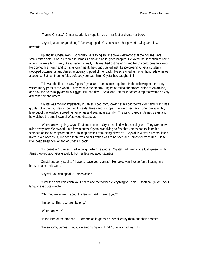"Thanks Chrissy." Crystal suddenly swept James off her feet and onto her back.

"Crystal, what are you doing?" James gasped. Crystal spread her powerful wings and flew upwards.

Up and up Crystal went. Soon they were flying so far above Westwood that the houses were smaller than ants. Cool air roared in James's ears and he laughed happily. He loved the sensation of being able to fly like a bird…well, like a dragon actually. He reached out his arms and felt the cold, creamy clouds. He opened his mouth and to his astonishment, the clouds tasted just like ice-cream! Crystal suddenly swooped downwards and James accidently slipped off her back! He screamed as he fell hundreds of miles a second. But just then he felt a soft body beneath him. Crystal had caught him!

This was the first of many flights Crystal and James took together. In the following months they visited many parts of the world. They went to the steamy jungles of Africa, the frozen plains of Antarctica, and saw the colossal pyramids of Egypt. But one day, Crystal and James set off on a trip that would be very different from the others.

Crystal was moving impatiently in James's bedroom, looking at his bedroom's clock and giving little grunts. She then suddenly bounded towards James and swooped him onto her back. She took a mighty leap out of the window, spreading her wings and soaring gracefully. The wind roared in James's ears and he watched the small town of Westwood disappear.

"Where are we going, Crystal?" James asked. Crystal replied with a small grunt. They were now miles away from Westwood. In a few minutes, Crystal was flying so fast that James had to lie on his stomach on top of her powerful back to keep himself from being blown off. Crystal flew over streams, lakes, rivers, even oceans. Quite soon there was no civilization was to be seen and James felt very tired. He fell into deep sleep right on top of Crystal's back.

"It's beautiful!" James cried in delight when he awoke. Crystal had flown into a lush green jungle. James looked at Crystal gratefully but her face revealed sadness.

Crystal suddenly spoke, "I have to leave you, James." Her voice was like perfume floating in a breeze; calm and sweet.

"Crystal, you can speak?" James asked.

"Over the days I was with you I heard and memorized everything you said. I soon caught on…your language is quite simple."

"Oh. You *were* joking about the leaving park, weren't you?"

"I'm sorry. This is where I belong."

"Where are we?"

"In the land of the dragons." A dragon as large as a bus walked by them and then another.

"I'm so sorry, James. I must live among my own kind!" Crystal cried tearfully.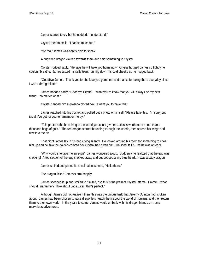James started to cry but he nodded, "I understand."

Crystal tried to smile, "I had so much fun."

"Me too," James was barely able to speak.

A huge red dragon walked towards them and said something to Crystal.

Crystal nodded sadly, "He says he will take you home now." Crystal hugged James so tightly he couldn't breathe. James tasted his salty tears running down his cold cheeks as he hugged back.

"Goodbye James. Thank you for the love you game me and thanks for being there everyday since I was a drangonlette."

James nodded sadly, "Goodbye Crystal. I want you to know that you will always be my best friend…no matter what!"

Crystal handed him a golden-colored box, "I want you to have this."

James reached into his pocket and pulled out a photo of himself, "Please take this. I'm sorry but it's all I've got for you to remember me by."

"This photo is the best thing in the world you could give me…this is worth more to me than a thousand bags of gold." The red dragon started bounding through the woods, then spread his wings and flew into the air

That night James lay in his bed crying silently. He looked around his room for something to cheer him up and he saw the golden-colored box Crystal had given him. He lifted its lid. Inside was an egg!

"Why would she give me an egg?" James wondered aloud. Suddenly he realized that the egg was cracking! A top section of the egg cracked away and out popped a tiny blue head…it was a baby dragon!

James smiled and patted its small hairless head, "Hello there."

The dragon licked James's arm happily.

James scooped it up and smiled to himself, "So this is the present Crystal left me. Hmmm…what should I name her? How about Jade...yes, that's perfect."

Although James did not realize it then, this was the unique task that Jeremy Quinton had spoken about. James had been chosen to raise dragonlets, teach them about the world of humans, and then return them to their own world. In the years to come, James would embark with his dragon friends on many marvelous adventures.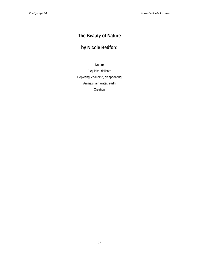# **The Beauty of Nature**

# **by Nicole Bedford**

Nature

Exquisite, delicate Depleting, changing, disappearing Animals, air, water, earth Creation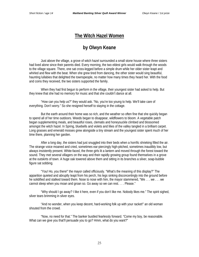## **The Witch Hazel Women**

# **by Olwyn Keane**

Just above the village, a grove of witch hazel surrounded a small stone house where three sisters had lived alone since their parents died. Every morning, the two eldest girls would walk through the woods to the village square. There, one sat cross-legged before a simple drum while her older sister leapt and whirled and flew with the beat. When she grew tired from dancing, the other sister would sing beautiful, haunting lullabies that delighted the townspeople, no matter how many times they heard her. With the food and coins they received, the two sisters supported the family.

When they had first begun to perform in the village, their youngest sister had asked to help. But they knew that she had no memory for music and that she couldn't dance at all.

"How can you help us?" they would ask. "No, you're too young to help. We'll take care of everything. Don't worry." So she resigned herself to staying in the cottage.

But the earth around their home was so rich, and the weather so often fine that she quickly began to spend all of her time outdoors. Weeds began to disappear, wildflowers to bloom. A vegetable patch began supplementing meals, and beautiful roses, clematis and honeysuckle climbed and blossomed amongst the witch hazel. In Spring, bluebells and violets and lilies of the valley tangled in a brilliant carpet. Long grasses and emerald mosses grew alongside a tiny stream and the youngest sister spent much of her time there, planning her garden.

After a long day, the sisters had just snuggled into their beds when a horrific shrieking filled the air. The strange voice moaned and cried, sometimes ear-piercingly high-pitched, sometimes inaudibly low, but always insistently present. White-faced, the three girls lit a lantern and moved through the forest toward the sound. They met several villagers on the way and their rapidly growing group found themselves in a grove at the outskirts of town. A huge oak towered above them and sitting in its branches a silver, soap-bubble figure sat sobbing.

"You! Ho, you there!" the mayor called officiously. "What's the meaning of this display?" The apparition quieted and abruptly leapt from his perch, his legs sinking disconcertingly into the ground before he solidified and stalked toward them. Nose to nose with him, the mayor stammered, "We . . . we . . . we cannot sleep when you moan and groan so. Go away so we can rest. . . . Please."

"Why should I go away? I like it here, even if you don't like me. Nobody likes me." The spirit sighed, silver tears brimming in silver eyes.

"And no wonder, when you keep decent, hard-working folk up with your racket!" an old woman shouted from the crowd.

"Now, no need for that." The banker bustled fearlessly forward. "Come my boy, be reasonable. What can we give you that'll persuade you to go? Hmm, what do you want?"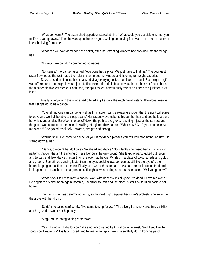"What do I want?" The astonished apparition stared at him. " What could you possibly give me, you fool? No, *you* go away." Then he was up in the oak again, wailing and crying fit to wake the dead, or at least keep the living from sleep.

"What can we do?" demanded the baker, after the retreating villagers had crowded into the village hall.

"Not much we can do," commented someone.

"Nonsense," the banker asserted, "everyone has a price. We just have to find his." The youngest sister frowned as the rest made their plans, staring out the window and listening to the ghost's cries.

Days passed in silence, the exhausted villagers trying to live their lives as usual. Each night, a gift was offered and each night it was rejected. The baker offered his best loaves, the cobbler her finest shoes, the butcher his thickest steaks. Each time, the spirit asked incredulously "What do I need this junk for? Get lost."

Finally, everyone in the village had offered a gift except the witch hazel sisters. The eldest resolved that her gift would be a dance.

 "After all, no one can dance as well as I. I'm sure it will be pleasing enough that the spirit will agree to leave and we'll all be able to sleep again." Her sisters wove ribbons through her hair and tied bells around her wrists and ankles. Barefoot, she set off down the path to the grove, reaching it just as the sun set and the ghost was about to commence his wailing. He glared down at her. "What now? Can't you people leave me alone?" She gazed resolutely upwards, straight and strong.

"Wailing spirit, I've come to dance for you. If my dance pleases you, will you stop bothering us?" He stared down at her.

 "Dance, dance! What do I care? Go ahead and dance." So, silently she raised her arms, twisting patterns through the air, the ringing of her silver bells the only sound. She leapt forward, kicked out, spun and twisted and flew, danced faster than she ever had before. Whirled in a blaze of colours, reds and golds and greens. Sometimes dancing faster than the eyes could follow, sometimes still like the eye of a storm before leaping into action once more. Finally, she was exhausted and it was all she could do to stand and look up into the branches of that great oak. The ghost was staring at her, so she asked, "Will you go now?"

"What is your talent to me? What do I want with dances? It's all gone. I'm dead. Leave me alone." He began to cry and moan again, horrible, unearthly sounds and the eldest sister flew terrified back to her home.

The next sister was determined to try, so the next night, against her sister's protests, she set off to the grove with her drum.

"Spirit," she called confidently, "I've come to sing for you!" The silvery frame shivered into visibility and he gazed down at her hopefully.

"Sing? You're going to sing?" he asked.

"Yes. I'll sing a lullaby for you," she said, encouraged by this show of interest, "and if you like the song, you'll leave us?" His face closed, and he made no reply, gazing resentfully down from his perch.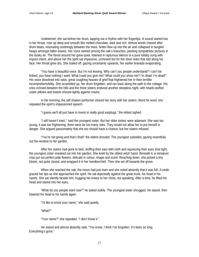Undeterred, she sat before her drum, tapping out a rhythm with her fingertips. A sound started low in her throat, rose up deep and smooth like melted chocolate, dark and rich. Almost words chased after drum beats, resonating soothingly between the trees. Notes flew up into the air and collapsed in tangled heaps amongst fallen leaves. Her voice swirled among the oak's branches, painting sympathetic pictures in the dusky air. The forest around her grew quiet, listened in rapturous silence to a pure lullaby sung with impure intent, and above her the spirit sat impassive, unmoved but for the silver tears that slid along his face. Her throat grew dry. She trailed off, gazing uncertainly upwards, her earlier bravado evaporating.

"You have a beautiful voice. But I'm not leaving. Why can't you people understand? I can't be bribed, you have nothing I want. What could you give me? What could you show me? I'm dead. I'm dead!" His voice dissolved into sobs, great coughing heaves of grief that frightened her in their terrible incomprehensibility. She scrambled up, her drum forgotten, and ran back along the path to the cottage. His cries echoed between the hills and the three sisters endured another sleepless night, with heads stuffed under pillows and towels shoved tightly against cracks.

In the morning, the still shaken performer shared her story with her sisters. Word for word, she repeated the spirit's impassioned speech.

"I guess we'll all just have to invest in really good earplugs," the eldest sighed.

"I still haven't tried,." said the youngest sister. But her older sisters were adamant. She was too young, it was too frightening, there were far too many risks. They would not allow her to put herself in danger. She argued passionately that she too should have a chance, but her sisters refused.

"You're not going and that's final!" the eldest shouted. The youngest subsided, gazing resentfully out the window to her garden.

After her sisters had gone to bed, stuffing their ears with cloth and squeezing their eyes shut tight, the youngest sister sneaked out into her garden. She knelt by the oldest witch hazel. Beneath it, a miniature rose put out perfect pale flowers, delicate in colour, shape and scent. Reaching down, she picked a tiny bloom, not quite closed, and wrapped it in her handkerchief. Then she set off towards the grove.

When she reached the oak, the moon had just risen and she noted absently that it was full. A smile graced her lips as she approached the spirit. He sat dejectedly against the great trunk, his head in his hands. She sat silently beside him, hugging her knees to her chest, not speaking. After a time, he lifted his head and stared into her eyes.

"What do you people want now?" he asked sulkily. The youngest sister shrugged. He stared, then lowered his head to his hands again.

"I'd like to know your name," she said quietly.

"What?"

"Your name?" she repeated. "I don't know it."

He stared and almost absently said, "You know, I think I've forgotten. It's been so long. Everything's gone."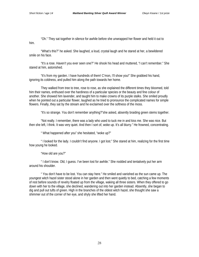"Oh." They sat together in silence for awhile before she unwrapped her flower and held it out to him.

"What's this?" he asked. She laughed, a loud, crystal laugh and he stared at her, a bewildered smile on his face.

"It's a rose. Haven't you ever seen one?" He shook his head and muttered, "I can't remember." She stared at him, astonished.

"It's from my garden. I have hundreds of them! C'mon, I'll show you!" She grabbed his hand, ignoring its coldness, and pulled him along the path towards her home.

They walked from tree to tree, rose to rose, as she explained the different times they bloomed, told him their names, enthused over the hardiness of a particular species or the beauty and fine colour of another. She showed him lavender, and taught him to make crowns of its purple stalks. She smiled proudly when he pointed out a particular flower, laughed as he tried to pronounce the complicated names for simple flowers. Finally, they sat by the stream and he exclaimed over the softness of the moss.

"It's so strange. You don't remember anything?"she asked, absently braiding green stems together.

"Not really. I remember, there was a lady who used to tuck me in and kiss me. She was nice. But then she left, I think. It was very quiet. And then I sort of, woke up. It's all blurry." He frowned, concentrating.

" What happened after you" she hesitated, "woke up?"

" I looked for the lady. I couldn't find anyone. I got lost." She stared at him, realizing for the first time how young he looked.

"How old are you?"

" I don't know. Old, I guess. I've been lost for awhile." She nodded and tentatively put her arm around his shoulder.

" You don't have to be lost. You can stay here." He smiled and vanished as the sun came up. The youngest witch hazel sister stood alone in her garden and then went quietly to bed, catching a few moments of rest before sounds of revelry floated up from the village, waking all three sisters. When they offered to go down with her to the village, she declined, wandering out into her garden instead. Absently, she began to dig and pull out tufts of green. High in the branches of the oldest witch hazel, she thought she saw a shimmer out of the corner of her eye, and shyly she lifted her hand.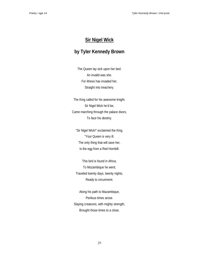# **Sir Nigel Wick**

# **by Tyler Kennedy Brown**

The Queen lay sick upon her bed. An invalid was she. For illness has invaded her, Straight into treachery.

The King called for his awesome knight. Sir Nigel Wick he'd be, Came marching through the palace doors, To face his destiny.

"Sir Nigel Wick!" exclaimed the King. "Your Queen is very ill. The only thing that will save her, Is the egg from a Red Hornbill.

This bird is found in Africa. To Mozambique he went; Traveled twenty days, twenty nights, Ready to circumvent.

Along his path to Mazambique, Perilous times arose. Slaying creatures, with mighty strength, Brought those times to a close.

29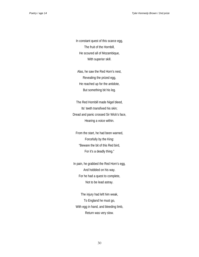In constant quest of this scarce egg, The fruit of the Hornbill, He scoured all of Mozambique, With superior skill.

Alas, he saw the Red Horn's nest, Revealing the prized egg, He reached up for the antidote, But something bit his leg.

The Red Hornbill made Nigel bleed, Its' teeth transfixed his skin; Dread and panic crossed Sir Wick's face, Hearing a voice within.

From the start, he had been warned, Forcefully by the King: "Beware the bit of this Red bird, For it's a deadly thing."

In pain, he grabbed the Red Horn's egg, And hobbled on his way. For he had a quest to complete, Not to be lead astray.

The injury had left him weak, To England he must go, With egg in hand, and bleeding limb, Return was very slow.

30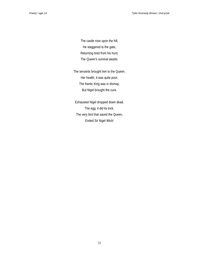The castle rose upon the hill, He staggered to the gate, Returning tired from his hunt, The Queen's survival awaits.

The servants brought him to the Queen, Her health, it was quite poor; The frantic King was in dismay, But Nigel brought the cure.

Exhausted Nigel dropped down dead. The egg, it did its trick. The very bird that saved the Queen, Ended Sir Nigel Wick!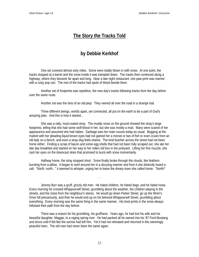## **The Story the Tracks Told**

# **by Debbie Kerkhof**

One set covered almost sixty miles. Some were totally blown in with snow. At one point, the tracks stopped at a barrel and the snow inside it was trampled down. The tracks then continued along a highway, where they became far apart and long. Near a late night restaurant, one paw-print was marred with a rusty pop can. The rest of the tracks had spots of blood beside them.

Another set of footprints was repetitive, the new day's tracks following tracks from the day before over the same route.

Another set was the tires of an old jeep. They veered all over the road in a strange trail.

Three different beings, worlds apart, yet connected, all put on the earth to be a part of God's amazing plan. And this is how it started...

She was a ratty, mud-coated stray. The muddy snow on the ground showed the stray's large footprints, telling that she had some wolf-blood in her, but she was mostly a mutt. Many were scared of her appearance and assumed she had rabies. Garbage was her main course today as usual. Begging at the market with her pleading liquid brown eyes had not gained her a morsel or two of fish or even crusts from an old lady on a bench, and even a stray dog feels shame. The kind butcher across the street had not been home either. Finding a scrap of bacon and some egg shells that had not been fully scraped out, she ate her late day breakfast and started on her way to her rotten old box in the junkyard. Lifting her fine muzzle, she cast her eyes on the downcast skies that promised to burst with snow momentarily.

Halfway home, the stray stopped short. Snow finally broke through the clouds, like feathers bursting from a pillow. It began to swirl around her in a dizzying manner and from it she distinctly heard a call. "North, north..." it seemed to whisper, urging her to leave the dreary town she called home. "North!"

. . .

Jeremy Burr was a gruff, grizzly old man. He hated children, he hated dogs, and he hated noise. Every morning he crossed Whippoorwill Street, grumbling about the weather, the children playing in the streets, and the noise from the neighbour's stereo. He would go down Parker Street, go up the Wren's Drive hill precariously, and then he would end up on his beloved Whippoorwill Street, grumbling about everything. Every morning was the same thing in the same manner. His boot prints in the snow always followed their path from the day before.

There was a reason for his grumbling, his gruffness. Years ago, he had lost his wife and his beautiful daughter, Maggie, to a raging spring river. He had packed all he owned into his '87 Ford Mustang and drove until if felt like the sorrow had left him. Yet it had not retreated and returned in this seemingly peaceful town. The old man had never been the same again.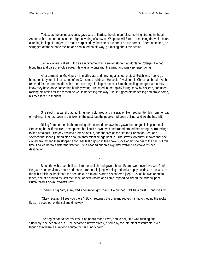Today, as the ominous clouds gave way to flurries, the old man felt something strange in the air. As he set his leather boots into the light covering of snow on Whippoorwill Street, something drew him back, a lurking feeling of danger. He stood perplexed by the side of the street on the corner. After some time, he shrugged off the strange feeling and continued on his way, grumbling about everything.

. . .

Jamie Walters, called Butch as a nickname, was a senior student at Montane College. He had blond hair and pale grey-blue eyes. He was a favorite with the gang and was very easy-going.

After tormenting Mr. Hopskin in math class and finishing a school project, Butch was free to go home to study for his last exam before Christmas holidays. He couldn't wait for his Christmas break. As he reached for the door handle of his jeep, a strange feeling came over him, the feeling one gets when they know they have done something horribly wrong. He stood in the rapidly falling snow by his jeep, confused, racking his brains for the reason he would be feeling this way. He shrugged off the feeling and drove home, his face laced in thought.

She slept in a barrel that night, hungry, cold, wet, and miserable. Her feet hurt terribly from her day of walking. She had been in this town in the past, but the people had been unkind, and so she had left.

. . .

Rising from her bed in the morning, she opened her jaws in a yawn, her tongue lolling in the air. Stretching her stiff muscles, she opened her liquid brown eyes and trotted around her strange surroundings to find breakfast. The day showed promise of sun, and the sky looked like the Caribbean Sea, and it seemed that if one jumped high enough, they might plunge right in. The stray's footprints showed that she circled around and then stopped short, her feet digging in the snow. Once again she heard the call, but this time it called her to a different direction. She headed out on a highway, walking east towards her destination.

Butch threw his baseball cap into the cool air and gave a hoot. Exams were over! He was free! He gave another victory shout and made a run for his jeep, wishing a friend a happy holiday on the way. He threw his thick textbook onto the seat next to him and started his battered jeep. Just as he was about to leave, one of his buddies, Jeff McKlinck, or best known as Scamp, tapped noisily on the window pane. Butch rolled it down. "What's up?"

. . .

"There's a big party at my dad's house tonight, man." He grinned. "It'll be a blast. Don't miss it!"

"Okay, Scamp, I'll see you there." Butch returned the grin and revved his motor, letting the rocks fly as he sped out of the college driveway.

. . .

The dog began to get restless. She hadn't made it yet, and to her, time was running out. Suddenly, she began to run. She became a brown streak, rushing by the late-night restaurants, even though they were a sure food source for her hungry belly.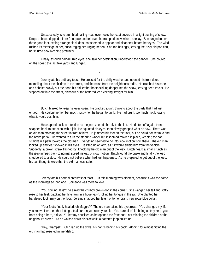Unexpectedly, she stumbled, falling head over heels, her coat covered in a light dusting of snow. Drops of blood dripped off her front paw and fell over the trampled snow where she lay. She lunged to her three good feet, seeing strange black dots that seemed to appear and disappear before her eyes. The wind rushed its message at her, encouraging her, urging her on. She ran haltingly, leaving the rusty old pop can, her injured paw bleeding profusely.

Finally, through pain-blurred eyes, she saw her destination, understood the danger. She poured on the speed the last few yards and lunged...

Jeremy ate his ordinary toast. He dressed for the chilly weather and opened his front door, mumbling about the children in the street, and the noise from the neighbour's radio. He clutched his cane and hobbled slowly out the door, his old leather boots sinking deeply into the snow, leaving deep tracks. He stepped out into the street, oblivious of the battered jeep veering straight for him...

. . .

. . .

Butch blinked to keep his eyes open. He cracked a grin, thinking about the party that had just ended. He couldn't remember much, just when he began to drink. He had drunk too much, not knowing what it would cost him.

He snapped back to attention as the jeep veered sharply to the left. He drifted off again, then snapped back to attention with a jolt. He squinted his eyes, then slowly grasped what he saw. There was an old man crossing the street in front of him! He jammed his foot on the floor, but he could not seem to find the brake pedal. He wanted to turn the steering wheel, but it seemed molded in place, keeping the car straight in a path towards the old man. Everything seemed to go into slow motion from there. The old man looked up and fear showed in his eyes. He lifted up an arm, as if it would shield him from the vehicle. Suddenly, a brown streak flashed by, knocking the old man out of the way. Butch heard a small crunch as the jeep jumped back to normal speed instead of slow motion. Butch found the brake and finally the jeep shuddered to a stop. He could not believe what had just happened. As he prepared to get out of the jeep, his last thoughts were that the old man was safe.

Jeremy ate his normal breakfast of toast. But this morning was different, because it was the same as the mornings so long ago. Someone was there to love.

. . .

"You coming, lass?" he asked the chubby brown dog in the corner. She wagged her tail and stiffly rose to her feet, cracking her fine jaws in a huge yawn, lolling her tongue in the air. She planted her bandaged foot firmly on the floor. Jeremy snapped her leash onto her brand new royal-blue collar.

"Your foot's finally healed, eh Maggie?" The old man raised his eyebrows. "You changed my life, you know. I learned that letting a trial burden you ruins your life. You sure didn't let being a stray keep you from being a hero, did you?" Jeremy chuckled as he opened the front door, not minding the children or the neighbour's stereo. As he walked down his sidewalk, a battered jeep pulled up.

"Hey, Gramps!" Butch ran up the drive, his hands behind his back. Atoning for almost hitting the old man had resulted in friendship.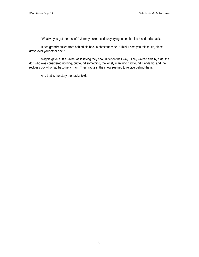"What've you got there son?" Jeremy asked, curiously trying to see behind his friend's back.

Butch grandly pulled from behind his back a chestnut cane. "Think I owe you this much, since I drove over your other one."

Maggie gave a little whine, as if saying they should get on their way. They walked side by side, the dog who was considered nothing, but found something, the lonely man who had found friendship, and the reckless boy who had become a man. Their tracks in the snow seemed to rejoice behind them.

And that is the story the tracks told.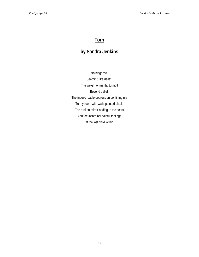# **Torn**

# **by Sandra Jenkins**

Nothingness. Seeming like death. The weight of mental turmoil Beyond belief. The indescribable depression confining me To my room with walls painted black. The broken mirror adding to the scars And the incredibly painful feelings Of the lost child within.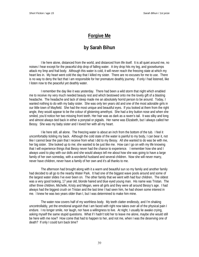# **Forgive Me**

# **by Sarah Bihun**

I lie here alone, distanced from the world, and distanced from life itself. It is all quiet around me, no noises I hear except for the peaceful drip drop of falling water. A tiny drop hits my leg, and goosebumps attack my limp and frail body. Although this water is cold, it will never reach the freezing state at which my heart lies in. My heart went cold the day that I killed my sister. There are no excuses for me to use. There is no way to deny the fact that I am responsible for her premature deathly journey. If only I had listened, like I listen now to the peaceful yet deathly water.

I remember the day like it was yesterday. There had been a wild storm that night which enabled me to receive my very much needed beauty rest and which bestowed onto me the lovely gift of a blasting headache. The headache and lack of sleep made me an absolutely horrid person to be around. Today, I wanted nothing to do with my baby sister. She was only ten years old and one of the most adorable girls in our little town of Mayfield. She had the most unique and beautiful eyes. If you looked at them from the right angle, they would appear to be the colour of glistening amethyst. She had a tiny button nose and when she smiled, you'd notice her two missing front teeth. Her hair was as dark as a raven's tail. It was silky and long and almost always tied back in either a ponytail or pigtails. Her name was Elizabeth, but I always called her Bessy. She was my baby sister and I loved her with all my heart.

I lie here still, all alone. The freezing water is about an inch from the bottom of the tub. I feel it uncomfortably tickling my back. Although the cold state of the water is painful to my body, I can bear it, not like I cannot bear the pain that I receive from what I did to my Bessy. All she wanted to do was be with me, her big sister. She looked up to me; she wanted to be just like me. How can I go on with my life knowing that I will experience things that Bessy never had the chance to experience. I remember how she and I always used to play with our dolls and she would always tell me about how she was going to have a large family of her own someday, with a wonderful husband and several children. Now she will never marry, never have children, never have a family of her own and it's all thanks to me.

The afternoon had brought along with it a warm and beautiful sun so my family and another family had decided to all go to the nearby Water Park. It had one of the biggest wave pools around and some of the largest water slides I've ever been on. The other family that we went with had four children. The oldest was a very good looking, 17 year old, blonde haired and blue eyed young man. His name was Tristan. The other three children, Michelle, Kristy and Megan, were all girls and they were all around Bessy's age. I had always had the biggest crush on Tristan and the last time I had seen him, he had shown some interest in me. I knew he was two years older than I, but I was determined to make him mine.

The water now covers half of my worthless body. My teeth clatter endlessly, and I'm shaking uncontrollably, yet the emotional anguish that I am faced with right now takes over all of the physical pain I endure. I no longer smile, nor laugh, nor have a willingness to live. At night, I usually lie awake crying, asking myself the same stupid questions. What if I hadn't told her to leave me alone, maybe she would still be here with me now? How come that had to happen to her, and not me, when I was the deserving one of death? If only I could turn back time?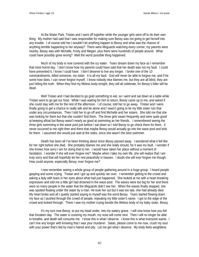At the Water Park, Tristan and I went off together while the younger girls went off to do their own thing. My mother had said that I was responsible for making sure Bessy was not going to get herself into any trouble. I of course told her I wouldn't let anything happen to Bessy and what was the chance of anything terrible happening to her anyway? There were lifeguards watching every corner, my parents were nearby, Bessy was with Michelle, Kristy and Megan, plus there were hundreds of people around. What could have possibly gone wrong? Well the worst possible thing happened.

Much of my body is now covered with the icy water. Tears stream down my face as I remember that most horrid day. I don't know how my parents could have said that her death was not my fault. I could have prevented it, I know I could have. I don't deserve to live any longer. I broke one of the 10 commandments, killed someone, my sister. It is all my fault. God will never be able to forgive me, and if he some how does, I can never forgive myself. I know nobody else blames me, but they are all blind, they are just hiding the truth. When they find my lifeless body tonight, they will all celebrate, for Bessy's killer will be dead.

Well Tristan and I had decided to go grab something to eat, so I went and sat down at a table while Tristan went to go get our food. While I was waiting for him to return, Bessy came up to me, and asked if she could stay with me for the rest of the afternoon. I of course, told her to go away. Tristan and I were finally going to get a chance to really talk and be alone and I wasn't going to let my little sister ruin that under any circumstances. Then I told her to go off and find Michelle and her sisters. She told me that she was looking for them but that she couldn't find them. The three girls swam frequently and were quite good at keeping afloat but Bessy wasn't nearly as good at swimming as her friends. I remembered seeing the three girls swimming in the wave pool just before I sat down so I told Bessy to go check there for them. It never occurred to me right then and there that maybe Bessy would actually go into the wave pool and look for them. I assumed she would just wait at the sides, since she wasn't the best swimmer.

Death has been all I've been thinking about since Bessy passed away. I wondered what it felt like for her right before she died. She probably blames me and she really should, for it was my fault. I wonder if she knows how sorry I am for doing that to her. I would have taken her place without a moment of hesitation. I wonder if she will ever forgive me? Maybe when I take my own life, she will realize that I am truly sorry and that will hopefully let her rest peacefully in heaven. I doubt she will ever forgive me though. How could anyone, especially Bessy, ever forgive me?

I now remember seeing a whole group of people gathering around in a huge group. I heard people gasping and some crying. Tristan and I got up and quickly ran over. I remember getting to the crowd and asking a lady with tears in her eyes about what had just happened. She looked at me with a heart breaking expression and told me a little girl had drowned in the wave pool. The waves were too big for her and there were so many people in the water that the lifeguards didn't see her. When the waves finally stopped, she was spotted floating under the water by a man. He took her out but it was too late, she had already died. My heart broke and all I quietly started saying to myself was the word Bessy. Tears started flowing down my face as I pushed through the crowd of people, repeating my little sister's name. I got to the edge of the crowd and looked through. There I saw my mother crying beside the lifeless body of my baby sister, Bessy.

It's my turn now Bessy, to put my head under, into my watery grave. I will now know how you felt that forsaken day. The water is covering my mouth; my nose will come next. Then I will no longer be able to breathe, and death will consume me. I know this is what I deserve. I know this is what everyone wants. I can't live any longer with knowing that I was your murderer. Satan, please come to me now, crush my soul with your power that's fed by man's hatred and pity. Let me get what I deserve. My body feels weightless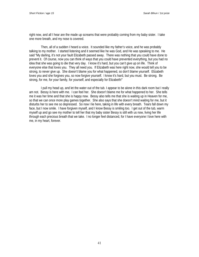right now, and all I hear are the made up screams that were probably coming from my baby sister. I take one more breath, and my nose is covered.

Then, all of a sudden I heard a voice. It sounded like my father's voice, and he was probably talking to my mother. I started listening and it seemed like he was God, and He was speaking to me. He said "My darling, it's not your fault Elizabeth passed away. There was nothing that you could have done to prevent it. Of course, now you can think of ways that you could have prevented everything, but you had no idea that she was going to die that very day. I know it's hard, but you can't give up on life. Think of everyone else that loves you. They all need you. If Elizabeth was here right now, she would tell you to be strong, to never give up. She doesn't blame you for what happened, so don't blame yourself. Elizabeth loves you and she forgives you, so now forgive yourself. I know it's hard, but you must. Be strong. Be strong, for me, for your family, for yourself, and especially for Elizabeth!"

I pull my head up, and let the water out of the tub. I appear to be alone in this dark room but I really am not. Bessy is here with me. I can feel her. She doesn't blame me for what happened to her. She tells me it was her time and that she is happy now. Bessy also tells me that she is waiting up in Heaven for me, so that we can once more play games together. She also says that she doesn't mind waiting for me, but it disturbs her to see me so depressed. So now I lie here, taking in life with every breath. Tears fall down my face, but I now smile. I have forgiven myself, and I know Bessy is smiling too. I get out of the tub, warm myself up and go see my mother to tell her that my baby sister Bessy is still with us now, living her life through each precious breath that we take. I no longer feel distanced, for I have everyone I love here with me, in my heart, forever.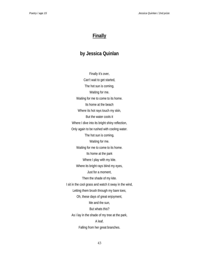## **Finally**

# **by Jessica Quinlan**

Finally it's over, Can't wait to get started, The hot sun is coming, Waiting for me. Waiting for me to come to its home. Its home at the beach Where its hot rays touch my skin, But the water cools it Where I dive into its bright shiny reflection, Only again to be rushed with cooling water. The hot sun is coming, Waiting for me. Waiting for me to come to its home. Its home at the park Where I play with my kite. Where its bright rays blind my eyes, Just for a moment, Then the shade of my kite. I sit in the cool grass and watch it sway in the wind, Letting them brush through my bare toes, Oh, these days of great enjoyment, Me and the sun, But whats this? As I lay in the shade of my tree at the park, A leaf. Falling from her great branches.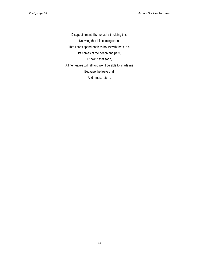Disappointment fills me as I sit holding this, Knowing that it is coming soon, That I can't spend endless hours with the sun at Its homes of the beach and park, Knowing that soon, All her leaves will fall and won't be able to shade me Because the leaves fall And I must return.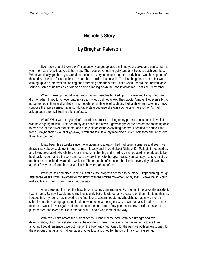### **Nichole's Story**

### **by Breghan Paterson**

Ever have one of those days? You know, you get up late, can't find your books, and you scream at your mom as she yells at you to hurry up. Then you leave feeling guilty and only hope to catch your bus. When you finally get there you are alone because everyone else caught the early bus. I was having one of those days. I waited for about half an hour, then decided just to walk. The last thing that I remember was coming up to an intersection, looking, then stepping onto the street. That's when I heard the unmistakable sound of screeching tires as a blue van came tumbling down the road towards me. That's all I remember.

When I woke up I found tubes, monitors and needles hooked up to my arm and to my shock and dismay, when I tried to roll over onto my side, my legs did not follow. They wouldn't move. Not even a bit. A nurse rushed in then and smiled at me, though her smile was of such pity I felt a shiver run down my neck. I suppose the nurse sensed my uncomfortable state because she was soon giving me another IV. I fell asleep soon after, still feeling a bit confused.

What? What were they saying? I could hear doctors talking to my parents. I couldn't believe it. I was never going to walk? I started to cry as I heard the news. I grew angry. At the doctors for not being able to help me, at the driver that hit me, and at myself for letting everything happen. I decided to shut out the world. Maybe then it would all go away. I wouldn't talk, take my medicine or even look someone in the eye. It just hurt too much.

It had been three weeks since the accident and already I had had seven surgeries and seen five therapists. Nobody could get through to me. Nobody until I heard about Nichole. Dr. Pallagin introduced us and I was fascinated. Nichole had a rare infection in her leg and it had to be amputated. She refused to be held back though, and still spent ten hours a week in physio therapy. I guess you can say that she inspired me because I decided I wanted to walk too. Three months of intense rehabilitation every day followed by another few years of four times a week rehab. where ahead of me.

It was painful and discouraging at first as little progress seemed to be made. I kept pushing though. After three weeks I was rewarded for my efforts with the limited movement of my toes. I knew that if I could make it this far, then I could make it all the way.

After three months I left the hospital on a sunny June morning. For the first time since the accident, I went home. By now I would move my legs slightly but only without any pressure on them . It hit me then as I settled into my room, now moved to the first floor to accommodate my wheelchair, that in two months school would be starting again and I did not want to be wheeling my way down the halls. I had two months to learn to walk all over again and learn to face the questions of my peers about my accident. I started to push harder than ever and like in the hospital, Nichole was there all the way.

With two weeks before the start of school, Nichole came over. With her strength and my determination, I took my first steps since the accident. Three small steps that meant more to me than anything I could remember. We both sat on the floor and cried. Cried for the pain we both suffered, cried for the precious time as a normal teenager that we lost, and cried for the joy of finally coming so far.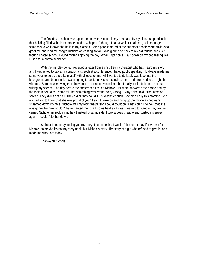The first day of school was upon me and with Nichole in my heart and by my side, I stepped inside that building filled with old memories and new hopes. Although I had a walker to aid me, I did manage somehow to walk down the halls to my classes. Some people stared at me but most people were anxious to greet me and lend me congratulations on coming so far. I was glad to be back to my old routine and even though I hated school, I found myself enjoying the day. When I got home, I laid down on my bed feeling like I used to; a normal teenager.

With the first day gone, I received a letter from a child trauma therapist who had heard my story and I was asked to say an inspirational speech at a conference. I hated public speaking. It always made me so nervous to be up there by myself with all eyes on me. All I wanted to do lately was fade into the background and be normal. I wasn't going to do it, but Nichole convinced me and promised to be right there with me. Somehow knowing that she would be there convinced me that I really could do it and I set out to writing my speech. The day before the conference I called Nichole. Her mom answered the phone and by the tone in her voice I could tell that something was wrong. Very wrong. "Amy," she said, "The infection spread. They didn't get it all. They did all they could it just wasn't enough. She died early this morning. She wanted you to know that she was proud of you." I said thank-you and hung up the phone as hot tears streamed down my face. Nichole was my rock, the person I could count on. What could I do now that she was gone? Nichole wouldn't have wanted me to fail, so as hard as it was, I learned to stand on my own and carried Nichole, my rock, in my heart instead of at my side. I took a deep breathe and started my speech again. I couldn't let her down.

So hear I am today, telling you my story. I suppose that I wouldn't be here today if it weren't for Nichole, so maybe it's not my story at all, but Nichole's story. The story of a girl who refused to give in, and made me who I am today.

Thank-you Nichole.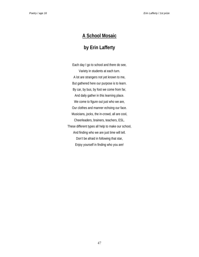# **A School Mosaic**

# **by Erin Lafferty**

Each day I go to school and there do see, Variety in students at each turn. A lot are strangers not yet known to me, But gathered here our purpose is to learn. By car, by bus, by foot we come from far, And daily gather in this learning place. We come to figure out just who we are, Our clothes and manner echoing our face. Musicians, jocks, the in-crowd, all are cool, Cheerleaders, brainers, teachers, ESL. These different types all help to make our school, And finding who we are just time will tell. Don't be afraid in following that star, Enjoy yourself in finding who you are!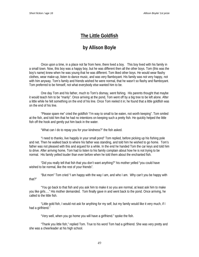## **The Little Goldfish**

# **by Allison Boyle**

Once upon a time, in a place not far from here, there lived a boy. This boy lived with his family in a small town. Now, this boy was a happy boy, but he was different then all the other boys. Tom (this was the boy's name) knew when he was young that he was different. Tom liked other boys. He would wear flashy clothes, wear make-up, listen to dance music, and was very flamboyant. His family was not very happy, not with him anyway. Tom's family and friends wished he were normal, that he wasn't so flashy and flamboyant. Tom preferred to be himself, not what everybody else wanted him to be.

One day Tom and his father, much to Tom's dismay, went fishing. His parents thought that maybe it would teach him to be "manly". Once arriving at the pond, Tom went off by a big tree to be left alone. After a little while he felt something on the end of his line. Once Tom reeled it in; he found that a little goldfish was on the end of his line.

"Please spare me" cried the goldfish "I'm way to small to be eaten, not worth keeping". Tom smiled at the fish, and told him that he had no intentions on keeping such a pretty fish. He quickly helped the little fish off the hook and gently put him back in the water.

"What can I do to repay you for your kindness?" the fish asked.

"I need to thanks, live happily in your small pond" Tom replied, before picking up his fishing pole and net. Then he walked back to where his father was standing, and told him he wished to go home. Tom's father was not pleased with this and argued for a while. In the end he handed Tom the car keys and told him to drive. After arriving home, Tom had to listen to his family complain about how he is not trying to be normal. His family yelled louder than ever before when he told them about the enchanted fish.

"Did you really tell that fish that you don't want anything?" his mother yelled "you could have wished to be normal, like the rest of your friends".

"But mom" Tom cried "I am happy with the way I am, and who I am. Why can't you be happy with that?"

"You go back to that fish and you ask him to make it so you are normal, at least ask him to make you like girls…." His mother demanded. Tom finally gave in and went back to the pond. Once arriving, he called to the little fish.

"Little gold fish, I would not ask for anything for my self, but my family would like it very much, if I had a girlfriend."

"Very well, when you go home you will have a girlfriend." spoke the fish.

"Thank you little fish," replied Tom. True to his word Tom had a girlfriend. She was very pretty and she was a cheerleader at his high school.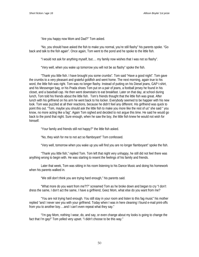"Are you happy now Mom and Dad?" Tom asked.

"No, you should have asked the fish to make you normal, you're still flashy" his parents spoke. "Go back and talk to the fish again". Once again, Tom went to the pond and he spoke to the little fish.

"I would not ask for anything myself, but…. my family now wishes that I was not so flashy".

"Very well, when you wake up tomorrow you will not be as flashy" spoke the fish.

"Thank you little fish. I have brought you some crumbs". Tom said "Have a good night". Tom gave the crumbs to a very pleasant and grateful goldfish and went home. The next morning, again true to his word, the little fish was right. Tom was no longer flashy. Instead of putting on his Diesel jeans, GAP t-shirt, and his Messenger bag, or his Prada shoes Tom put on a pair of jeans, a football jersey he found in his closet, and a baseball cap. He then went downstairs to eat breakfast. Later on that day, at school during lunch, Tom told his friends about the little fish. Tom's friends thought that the little fish was great. After lunch with his girlfriend on his arm he went back to his locker. Everybody seemed to be happier with his new look. Tom was puzzled at all their reactions, because he didn't feel any different. His girlfriend was quick to point this out. "Tom, maybe you should ask the little fish to make you more like the rest of us" she said " you know, no more acting like a fag". Again Tom sighed and decided to not argue this time. He said he would go back to the pond that night. Sure enough, when he saw the boy, the little fish knew he would not wish for himself.

"Your family and friends still not happy?" the little fish asked.

"No, they wish for me to not act so flamboyant" Tom confessed.

"Very well, tomorrow when you wake up you will find you are no longer flamboyant" spoke the fish.

"Thank you little fish," replied Tom. Tom left that night very unhappy, he still did not feel there was anything wrong to begin with. He was starting to resent the feelings of his family and friends.

Later that week, Tom was sitting in his room listening to his Dance Music and doing his homework when his parents walked in.

"We still don't think you are trying hard enough," his parents said.

"What more do you want from me?!?" screamed Tom as he broke down and began to cry "I don't dress the same, I don't act the same, I have a girlfriend, Geez Mom, what else do you want from me?

"You are not trying hard enough. You still stay in your room and listen to this fag music" his mother replied "and I never see you with your girlfriend. Today when I was in here cleaning I found e-mail print-offs from you to another boy….and I can't even repeat what they say."

"I'm gay Mom, nothing I wear, do, and say, or even change about my looks is going to change the fact that I'm gay!" Tom yelled very upset. "I didn't choose to be this way."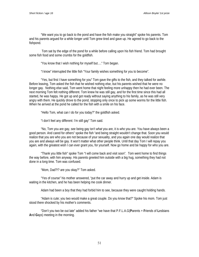"We want you to go back to the pond and have the fish make you straight" spoke his parents. Tom and his parents argued for a while longer until Tom grew tired and gave up. He agreed to go back to the fishpond.

 Tom sat by the edge of the pond for a while before calling upon his fish friend. Tom had brought some fish food and some crumbs for the goldfish.

"You know that I wish nothing for myself but…." Tom began.

"I know" interrupted the little fish "Your family wishes something for you to become".

"Yes, but first I have something for you" Tom gave the gifts to the fish, and they talked for awhile. Before leaving, Tom asked the fish that he wished nothing else, but his parents wished that he were no longer gay. Nothing else said, Tom went home that night feeling more unhappy then he had ever been. The next morning Tom felt nothing different. Tom knew he was still gay, and for the first time since this had all started, he was happy. He got up and got ready without saying anything to his family, as he was still very angry with them. He quickly drove to the pond, stopping only once to pick up some worms for the little fish. When he arrived at the pond he called for the fish with a smile on his face.

"Hello Tom, what can I do for you today?" the goldfish asked.

"I don't feel any different: I'm still gay" Tom said.

"No, Tom you are gay, see being gay isn't *what* you are, it is *who* you are. You have always been a good person. And cared for others" spoke the fish "and being straight wouldn't change that. Soon you would realize that you are who you are not because of your sexuality, and you again one day would realize that you are and always will be gay. It won't matter what other people think. Until that day Tom I will repay you again, with the greatest wish I can ever grant you, for yourself. Now go home and be happy for who you are.

"Thank you little fish" spoke Tom "I will come back and visit soon". Tom went home to find things the way before, with him anyway. His parents greeted him outside with a big hug, something they had not done in a long time. Tom was confused.

"Mom, Dad?!? are you okay?" Tom asked.

"Yes of course" his mother answered, "put the car away and hurry up and get inside. Adam is waiting in the kitchen, and he has been helping me cook dinner.

Adam had been a boy that they had forbid him to see, because they were caught holding hands.

"Adam is cute; you two would make a great couple. Do you know that?" Spoke his mom. Tom just stood there shocked by his mother's comments.

"Don't you two be out late" added his father "we have that P.F.L.A.G(**P**arents + **F**riends of **L**esbians **A**nd **G**ays) meeting in the morning.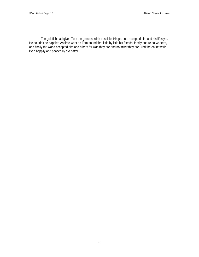The goldfish had given Tom the greatest wish possible. His parents accepted him and his lifestyle. He couldn't be happier. As time went on Tom found that little by little his friends, family, future co-workers, and finally the world accepted him and others for *who* they are and not *what* they are. And the entire world lived happily and peacefully ever after.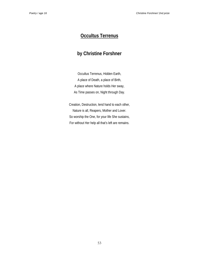# **Occultus Terrenus**

# **by Christine Forshner**

Occultus Terrenus, Hidden Earth, A place of Death, a place of Birth, A place where Nature holds Her sway, As Time passes on, Night through Day.

Creation, Destruction, lend hand to each other, Nature is all, Reapers, Mother and Lover. So worship the One, for your life She sustains, For without Her help all that's left are remains.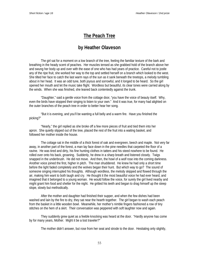### **The Peach Tree**

### **by Heather Olaveson**

The girl sat for a moment on a low branch of the tree, feeling the familiar texture of the bark and breathing in the heady scent of peaches. Her muscles tensed as she grabbed hold of the branch above her and swung her body up and over with the ease of one who has had years of practice. Careful not to jostle any of the ripe fruit, she worked her way to the top and settled herself on a branch which looked to the west. She tilted her face to catch the last warm rays of the sun as it sank beneath the treetops, a melody tumbling about in her head. It was an odd tune, both joyous and sorrowful, and it longed to be heard. So the girl opened her mouth and let the music take flight. Wordless but beautiful, its clear tones were carried along by the winds. When she was finished, she leaned back contentedly against the trunk.

"Daughter," said a gentle voice from the cottage door, "you have the voice of beauty itself. Why, even the birds have stopped their singing to listen to your own." And it was true, for many had alighted on the outer branches of the peach tree in order to better hear her song.

"But it is evening, and you'll be wanting a full belly and a warm fire. Have you finished the picking?"

"Nearly," the girl replied as she broke off a few more pieces of fruit and tied them into her apron. She quietly slipped out of the tree, placed the rest of the fruit into a waiting basket, and followed her mother inside the house.

The cottage sat in the middle of a thick forest of oak and evergreen, beech and maple. Not very far away, in another part of the forest, a man lay face down in the pine needles that carpeted the floor of a ravine. He was tired and dirty, his fine hunting clothes in tatters and his steed nowhere to be found. He rolled over onto his back, groaning. Suddenly, he drew in a sharp breath and listened closely. Twigs snapped in the underbrush. He did not move. And then, the howl of a wolf rose into the coming darkness. Another voice joined the first, higher in pitch. The man shuddered. He knew he had only a short time before the light faded completely and the wolves began their hunt. But which way to go? The sound of someone singing interrupted his thoughts. Although wordless, the melody skipped and flowed through the air, making him want to both laugh and cry. He thought it the most beautiful voice he had ever heard, and imagined that it belonged to a young woman. He would follow the voice, for surely the girl lived nearby and might grant him food and shelter for the night. He gritted his teeth and began to drag himself up the steep slope, slowly but methodically.

After the mother and daughter had finished their supper, and when the few dishes had been washed and lain by the fire to dry, they sat near the hearth together. The girl began to wash each peach from the basket in a little wooden bowl. Meanwhile, her mother's nimble fingers fashioned a row of tiny stitches on the hem of a skirt. Their conversation was peppered with soft laughter now and again.

They suddenly grew quiet as a feeble knocking was heard at the door. "Hardly anyone has come by for many years, Mother. Might it be a lost traveler?"

The mother didn't answer, but rose from her seat and strode to the door. Hesitating only slightly,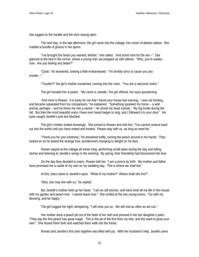she tugged on the handle and the door swung open.

The next day, in the late afternoon, the girl came into the cottage, her crown of daisies askew. She cradled a bundle of greens in her apron.

"I've brought the herbs you wanted, Mother," she called. "And some mint for the tea --" She glanced at the bed in the corner, where a young man sat propped up with pillows. "Why, you're awake, now. Are you feeling any better?"

"Quite," he answered, looking a little embarrassed. "I'm terribly sorry to cause you any trouble --"

"Trouble?!" the girl's mother exclaimed, coming into the room. "You are a welcome visitor."

The girl handed him a peach. "My name is Janelle," the girl offered, her eyes questioning.

"And mine is Rowan. It is lucky for me that I found your house last evening. I was out hunting, and became separated from my companions," he explained. "Something spooked my horse -- a wild animal, perhaps -- and he threw me into a ravine." He shook his head ruefully. "My leg broke during the fall. But then the most beautiful voice I have ever heard began to sing, and I followed it to your door." His eyes caught Janelle's and she blushed.

The girl's mother smiled knowingly. She turned to Rowan and told him, "You cannot venture back out into the world until you have rested and healed. Please stay with us, as long as need be."

"Thank you for your kindness," he answered softly, turning the peach around in his hands. They looked on as he tasted the strange fruit, wonderment changing to delight on his face.

Rowan stayed at the cottage all winter long, performing small tasks during the day and telling stories and listening to Janelle's songs in the evening. By spring, their friendship had blossomed into love.

On the day they decided to marry, Rowan told her, "I am a prince by birth. My mother and father have promised me a castle of my own on my wedding day. This is where we shall live."

At this, tears came to Janelle's eyes. "What of my mother? Where shall she live?"

"Why, she may live with us," he replied.

But Janelle's mother held up her hand. "I am an old woman, and have lived all my life in this house with my garden and peach tree. I cannot leave now." She smiled at the two young lovers. "Go with my blessing, and be happy."

The girl hugged her tight, whispering, "I will miss you so. We will visit as often as we can."

Her mother drew a peach pit out of the folds of her skirt and pressed it into her daughter's palm. "They say the first peach has great magic. This is the pit of the first from my tree, and the seed to grow your own." She kissed them both and watched them walk into the forest.

Rowan and Janelle's first year together was filled with joy. With her husband's help, Janelle came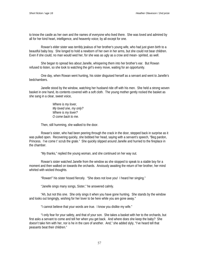to know the castle as her own and the names of everyone who lived there. She was loved and admired by all for her kind heart, intelligence, and heavenly voice; by all except for one.

Rowan's elder sister was terribly jealous of her brother's young wife, who had just given birth to a beautiful baby boy. She longed to hold a newborn of her own in her arms, but she could not bear children. Even if she could, no man would wed her, for she was as ugly as a crow and mean- spirited, as well.

She began to spread lies about Janelle, whispering them into her brother's ear. But Rowan refused to listen, so she took to watching the girl's every move, waiting for an opportunity.

One day, when Rowan went hunting, his sister disguised herself as a servant and went to Janelle's bedchambers.

Janelle stood by the window, watching her husband ride off with his men. She held a strong woven basket in one hand, its contents covered with a soft cloth. The young mother gently rocked the basket as she sang in a clear, sweet voice,

> *Where is my lover, My loved one, my only? Where is my lover? O come back to me.*

Then, still humming, she walked to the door.

Rowan's sister, who had been peering through the crack in the door, stepped back in surprise as it was pulled open. Recovering quickly, she bobbed her head, saying with a servant's speech, "Beg pardon, Princess. I've come t' scrub the grate." She quickly slipped around Janelle and hurried to the fireplace in the chamber.

"My thanks," replied the young woman, and she continued on her way out.

Rowan's sister watched Janelle from the window as she stopped to speak to a stable boy for a moment and then walked on towards the orchards. Anxiously awaiting the return of her brother, her mind whirled with wicked thoughts.

"Rowan!" his sister hissed fiercely. "She does not love you! I heard her singing."

"Janelle sings many songs, Sister," he answered calmly.

"Ah, but not this one. She only sings it when you have gone hunting. She stands by the window and looks out longingly, wishing for her lover to be here while you are gone away."

"I cannot believe that your words are true. I know you dislike my wife."

"I only fear for your safety, and that of your son. She takes a basket with her to the orchards, but first asks a servant to come and tell her when you get back. And where does she keep the baby? She doesn't take him with her, nor is he in the care of another. And," she added slyly, "I've heard tell that peasants beat their children."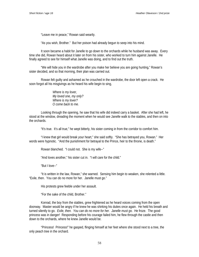"Leave me in peace," Rowan said wearily.

"As you wish, Brother." But her poison had already begun to seep into his mind.

It soon became a habit for Janelle to go down to the orchards while he husband was away. Every time she did, Rowan heard about it later on from his sister, who worked to turn him against Janelle. He finally agreed to see for himself what Janelle was doing, and to find out the truth.

"We will hide you in the wardrobe after you make her believe you are going hunting," Rowan's sister decided, and so that morning, their plan was carried out.

Rowan felt guilty and ashamed as he crouched in the wardrobe, the door left open a crack. He soon forgot all his misgivings as he heard his wife begin to sing,

> *Where is my lover, My loved one, my only? Where is my lover? O come back to me.*

Looking through the opening, he saw that his wife did indeed carry a basket. After she had left, he stood at the window, dreading the moment when he would see Janelle walk to the stables, and then on into the orchards.

"It's true. It's all true," he wept bitterly, his sister coming in from the corridor to comfort him.

"I knew that girl would break your heart," she said softly. "She has betrayed you, Rowan." Her words were hypnotic. "And the punishment for betrayal to the Prince, heir to the throne, is death."

Rowan blanched. "I could not. She is my wife--"

"And loves another," his sister cut in. "I will care for the child."

"But I love--"

"It is written in the law, Rowan," she warned. Sensing him begin to weaken, she relented a little. "Exile, then. You can do no more for her. Janelle must go."

His protests grew feeble under her assault.

"For the sake of the child, Brother."

Konrad, the boy from the stables, grew frightened as he heard voices coming from the open doorway. Master would be angry if he knew he was shirking his duties once again. He held his breath and turned silently to go. *Exile, then. You can do no more for her. Janelle must go.* He froze. The good princess was in danger! Responding before his courage failed him, he flew through the castle and then down to the orchards, where he knew Janelle would be.

"Princess! Princess!" he gasped, flinging himself at her feet where she stood next to a tree, the only peach tree in the orchard.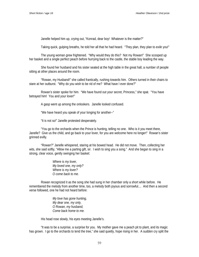Janelle helped him up, crying out, "Konrad, dear boy! Whatever is the matter?"

Taking quick, gulping breaths, he told her all that he had heard. "They plan, they plan to *exile* you!"

The young woman grew frightened. "Why would they do this? Not my Rowan!" She scooped up her basket and a single perfect peach before hurrying back to the castle, the stable boy leading the way.

She found her husband and his sister seated at the high table in the great hall, a number of people sitting at other places around the room.

"Rowan, my Husband!" she called frantically, rushing towards him. Others turned in their chairs to stare at her outburst. "Why do you wish to be rid of me? What have I ever done?"

Rowan's sister spoke for him. "We have found out your secret, Princess," she spat. "You have betrayed him! You and your lover!"

A gasp went up among the onlookers. Janelle looked confused.

"We have heard you speak of your longing for another--"

"It is not so!" Janelle protested desperately.

"You go to the orchards when the Prince is hunting, telling no one. Who is it you meet there, Janelle? Give us the child, and go back to your lover, for you are welcome here no longer!" Rowan's sister grinned evilly.

"Rowan?" Janelle whispered, staring at his bowed head. He did not move. Then, collecting her wits, she said softly, "Allow me a parting gift, sir. I wish to sing you a song." And she began to sing in a strong, clear voice, gently swinging her basket:

> *Where is my lover, My loved one, my only? Where is my lover? O come back to me.*

Rowan recognized it as the song she had sung in her chamber only a short while before. He remembered the melody from another time, too, a melody both joyous and sorrowful.... And then a second verse followed, one he had not heard before:

> *My love has gone hunting, My dear one, my only, O Rowan, my husband, Come back home to me.*

His head rose slowly, his eyes meeting Janelle's.

"It was to be a surprise, a surprise for you. My mother gave me a peach pit to plant, and its magic has grown. I go to the orchards to tend the tree," she said quietly, hope rising in her. A sudden cry split the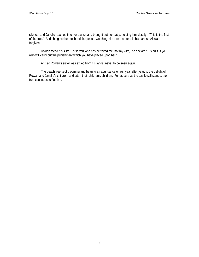silence, and Janelle reached into her basket and brought out her baby, holding him closely. "This is the first of the fruit." And she gave her husband the peach, watching him turn it around in his hands. All was forgiven.

Rowan faced his sister. "It is you who has betrayed me, not my wife," he declared. "And it is you who will carry out the punishment which you have placed upon her."

And so Rowan's sister was exiled from his lands, never to be seen again.

The peach tree kept blooming and bearing an abundance of fruit year after year, to the delight of Rowan and Janelle's children, and later, their children's children. For as sure as the castle still stands, the tree continues to flourish.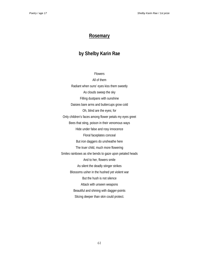#### **Rosemary**

# **by Shelby Karin Rae**

Flowers All of them Radiant when suns' eyes kiss them sweetly As clouds sweep the sky Filling dustpans with sunshine Daisies bare arms and buttercups grow cold Oh, blind are the eyes; for Only children's faces among flower petals my eyes greet Bees that sting, poison in their venomous ways Hide under false and rosy innocence Floral faceplates conceal But iron daggers do unsheathe here The truer child, much more flowering Smiles rainbows as she bends to gaze upon petaled heads And to her, flowers smile As silent the deadly stinger strikes Blossoms usher in the hushed yet violent war But the hush is not silence Attack with unseen weapons Beautiful and shining with dagger-points Slicing deeper than skin could protect.

61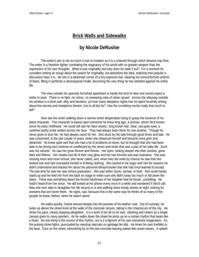#### **Brick Walls and Sidewalks**

#### **by Nicole DeRushie**

The writer's pen is not so much a tool of creation as it is a channel through which dreams may flow. The writer is a freedom fighter combating the stagnancy of his world with no greater weapon than the expression of his own thoughts. What is true originality and why does he seek it out? For a moment he considers writing an essay about the search for originality, but abandons the idea, realizing how popular a discussion topic it is. He sits in a darkened corner of a tiny espresso bar, wearing his nonconformist uniform of black, filling in perfectly a stereotypical model, becoming the very thing he has rebelled against his entire life.

The view outside his sparsely furnished apartment is hardly the kind of view one would expect a writer to want. There is no light, no colour, no sweeping vista of urban sprawl. Across the alleyway outside his window is a brick wall, dirty and faceless; yet how many sleepless nights has he spent fervently writing about the secrets and metaphors therein, lost to all but he? Has the crumbling mortar really that much to tell?

Now see the writer walking down a narrow street desperately trying to grasp the essence of his latest character. This character is based upon someone he knew long ago, a woman, whom he'd known since his early childhood. He could still see her face clearly...long brown hair, clear, sea-gray eyes, a carefree toothy smile written across her face. They had always been there for one another. Though he never grew to love her, he had always cared for her. She stuck by his side through good times and bad. He was concerned, in the last couple of years, when she distanced herself and became more grim and detached. He knew quite well that she had a lot of problems at home, but he thought that she had been able to be strong and continue on unaffected by the stress and strain that was a part of her daily life. Such was his naïveté. He saw her grow thinner and thinner. Her eyes, sinking deeper into their sockets, grew dark and lifeless. Her cheeks lost all of their rosy glow and her hair thinned and was lustreless. She was missing more and more school, she never called, and, when they did meet by chance he saw that she looked sick and had concealed herself in ill-fitting clothing. She started to be angry with him for reasons he didn't understand and teased him about his personal idiosyncrasies that she had once learned to accept. The last time he saw her was school graduation. She was either drunk, stoned, or both. She could hardly stand up and he held her from the back on stage to make sure she didn't sway too much or fall down the stairs. There was something about the forced harshness of her laughter that he found...unsettling. He hadn't heard from her since. He still looked at his phone every once in a while and wondered if she'd call. Was she ever able to straighten her life around or is she walking down lonely streets at night, looking for answers that are never there. He sighs, sad, because this is the same way he thinks of so many of the people he knew, before, when he wasn't alone.

He walks quickly, hands shoved deeply into the pockets of his leather coat. Out of curiosity, he looks up above the street level at the walls of the concrete canyon, taking in the chiaroscuro of the city. He slows his pace, nearly stopping altogether. It is a work of art all on its own, clashing and violent as a single canvas given to many painters. As he walks down the street he picks up on a certain rhythm that beats like a heart. No one thing is the source of this rhythm, nor is it a figment of his own overactive imagination. It's the pulsing street lights, punctuated by raindrop staccato on garbage bin lids. He times his own footfalls to the beat. Cars on the street, whooshing by on the wet concrete leaving wakes like ocean waves. A splash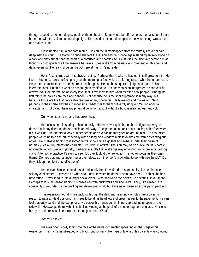through a puddle, the sounding symbols of the orchestra. Somewhere far off, he hears the bass beat from a boom-box with the volume cranked up high. This last distant sound completes the whole thing, wraps it up, and makes it one.

Close behind him, a car horn blares. He can feel himself ripped from the fantasy like a hot pain deep inside his gut. The startling sound shatters the illusion and he is once again standing entirely alone on a dark and filthy street near the heart of a confused and chaotic city. He studies the sidewalk before him as though it could give him all the answers he seeks. Steam lifts from his neck and forehead on this cold and damp evening. He really shouldn't be out here at night. It's not safe.

He isn't concerned with his physical being. Perhaps that is why he has let himself grow so thin. He lives in his head, rarely surfacing to greet the morning at face value, preferring to see what lies underneath. He is often thankful that no one can read his thoughts. He can be so quick to judge and harsh in his interpretations. But this is what he has taught himself to do. As one who is an interpreter of character he always looks for information on every level that is available to him when meeting new people. Among the first things he notices are race and gender. Not because he is racist or supremacist in any way, but because those are the first noticeable features of any character. He takes not and moves on. Next, perhaps, is their poise and their mannerisms. What makes them outwardly unique? Writing about a character and not giving them any physical definition, a soul without a host, is meaningless and cold.

Our writer is tall, thin, and has brown hair.

He notices people staring at him uneasily. He has never quite been able to figure out why...he doesn't look any different, doesn't act in an odd way. Except he has a habit of not looking at his feet when his is walking. He prefers to look at other people and everything that goes on around him. He has raised people watching to a fine art, especially when sitting by a window in his favourite cafe with a steaming cup of tea. He is always hoping that someone will show some sign that somewhere under their guise of normalcy lies a truly interesting character. It's difficult, at first. The sign may be so subtle that it is barely noticeable: an odd piece of jewelry, perhaps, a subtle tick, a strange way of twirling an umbrella or walking stick. After some practice it's easy to see. Do they look at their reflection in shop windows as they pass them? Do they play with a finger ring or their elbow as if they don't know what to do with their hands? Do they pick up their feet or shuffle along?

He believes himself to lead a sad and lonely life. Few friends, distant family, like self-imposed solitary confinement. How can he write about real life when he doesn't even have one? Truth is...he has never tried. Never tried to join a larger social order. What would be the point? He doesn't fit in out there. Perhaps that is the reason behind his obsession with brick walls and sidewalks. They, like himself, are constantly surrounded by the bustling and developing world but have never been an active participant in it.

This realization found, while walking through the dark and seemingly empty streets gives him reason to pause. He drops onto his knees to bend his head low and press his ear to the pavement. He can feel that gritty sand and the dampness. He places his hands gently, fingers spread, palm open on the sidewalk. He sweeps them with his soft skin, wincing at the prick of a minute fragment of glass. He closes his eyes and presses his ear closer, straining to hear...What?

#### "Are you okay?"

His eyes open slowly to find the face of the newest character appearing on the stage of his existence. The man is middle-aged and black, but not very. Perhaps only one of his parents was coloured.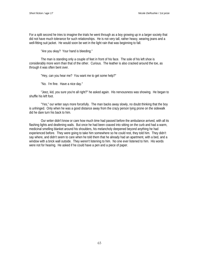For a split second he tries to imagine the trials he went through as a boy growing up in a larger society that did not have much tolerance for such relationships. He is not very tall, rather heavy, wearing jeans and a well-fitting suit jacket. He would soon be wet in the light rain that was beginning to fall.

"Are you okay? Your hand is bleeding."

The man is standing only a couple of feet in front of his face. The sole of his left shoe is considerably more worn than that of the other. Curious. The leather is also cracked around the toe, as through it was often bent over.

"Hey, can you hear me? You want me to get some help?"

"No. I'm fine. Have a nice day."

"Jeez, kid, you sure you're all right?" he asked again. His nervousness was showing. He began to shuffle his left foot.

"Yes," our writer says more forcefully. The man backs away slowly, no doubt thinking that the boy is unhinged. Only when he was a good distance away from the crazy person lying prone on the sidewalk did he dare turn his back to him.

Our writer didn't know or care how much time had passed before the ambulance arrived, with all its flashing lights and deafening wails. But once he had been coaxed into sitting on the curb and had a warm, medicinal smelling blanket around his shoulders, his melancholy deepened beyond anything he had experienced before. They were going to take him somewhere so he could rest, they told him. They didn't say where, and didn't seem to care when he told them that he already had an apartment, with a bed, and a window with a brick wall outside. They weren't listening to him. No one ever listened to him. His words were not for hearing. He asked if he could have a pen and a piece of paper.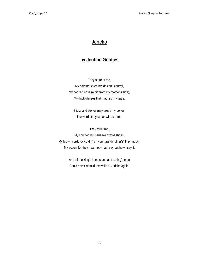### **Jericho**

## **by Jentine Gootjes**

They stare at me, My hair that even braids can't control, My hooked nose (a gift from my mother's side), My thick glasses that magnify my tears.

Sticks and stones may break my bones, The words they speak will scar me.

They taunt me, My scruffed but sensible oxford shoes, My brown corduroy coat ("Is it your grandmother's" they mock), My accent for they hear not what I say but how I say it.

> And all the king's horses and all the king's men Could never rebuild the walls of Jericho again.

> > 67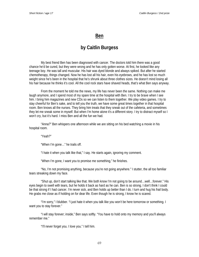#### **Ben**

#### **by Caitlin Burgess**

My best friend Ben has been diagnosed with cancer. The doctors told him there was a good chance he'd be cured, but they were wrong and he has only gotten worse. At first, he looked like any teenage boy. He was tall and muscular. His hair was dyed blonde and always spiked. But after he started chemotherapy, things changed. Now he has lost all his hair, even his eyebrows, and he has lost so much weight since he's been in the hospital that he's shrunk about three clothes sizes. He doesn't mind losing all his hair because he thinks it's cool. All the cool rock stars have shaved heads, that's what Ben says anyway.

From the moment he told me the news, my life has never been the same. Nothing can make me laugh anymore, and I spend most of my spare time at the hospital with Ben. I try to be brave when I see him. I bring him magazines and new CDs so we can listen to them together. We play video games. I try to stay cheerful for Ben's sake, and to tell you the truth, we have some great times together in that hospital room. Ben knows all the nurses. They bring him treats that they sneak out of the cafeteria, and sometimes they let me sneak some in myself. But when I'm home alone it's a different story. I try to distract myself so I won't cry, but it's hard. I miss Ben and all the fun we had.

"Anna?" Ben whispers one afternoon while we are sitting on his bed watching a movie in his hospital room.

"Yeah?"

"When I'm gone…" he trails off.

"I hate it when you talk like that," I say. He starts again, ignoring my comment.

"When I'm gone, I want you to promise me something," he finishes.

"No, I'm not promising anything, because you're not going anywhere." I stutter, the all too familiar tears streaking down my face.

"Shut up, don't start talking like that. We both know I'm not going to be around…well…forever." His eyes begin to swell with tears, but he holds it back as hard as he can. Ben is so strong. I don't think I could be that strong if I had cancer. I'm never sick, and Ben holds up better than I do. I turn and hug his frail body. He grabs me close as if holding on for dear life. Even though he is strong, I know he is scared.

"I'm sorry," I blubber. "I just hate it when you talk like you won't be here tomorrow or something. I want you to stay forever."

"I will stay forever; inside," Ben says softly. "You have to hold onto my memory and you'll always remember me."

"I'll never forget you. I love you." I tell him.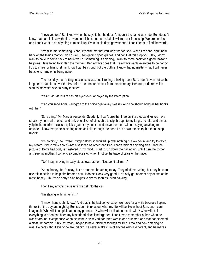"I love you too." But I know when he says it that he doesn't mean it the same way I do. Ben doesn't know that I am in love with him. I want to tell him, but I am afraid it will ruin our friendship. We are so close and I don't want to do anything to mess it up. Even as his days grow shorter, I can't seem to find the words.

"Promise me something, Anna. Promise me that you won't be too sad. When I'm gone, don't hold back on the things that you do so well. Keep getting good grades, and don't let this stop you. Hey, I don't want to have to come back to haunt you or something. If anything, I want to come back for a good reason," he jokes. He is trying to lighten the moment. Ben always does that. He always wants everyone to be happy. I try to smile for him to let him know I can be strong, but the truth is, I know that no matter what, I will never be able to handle his being gone.

The next day, I am sitting in science class, not listening, thinking about Ben. I don't even notice the long beep that blurts over the PA before the announcement from the secretary. Her loud, old tired voice startles me when she calls my teacher.

"Yes?" Mr. Marcus raises his eyebrows, annoyed by the interruption.

"Can you send Anna Parington to the office right away please? And she should bring all her books with her."

"Sure thing," Mr. Marcus responds. Suddenly I can't breathe. I feel as if a thousand knives have struck my heart all at once, and only one sliver of air is able to slip through to my lungs. I choke and almost yelp in the middle of class. I quickly gather my books, and leave the room without saying anything to anyone. I know everyone is staring at me as I slip through the door. I run down the stairs, but then I stop myself.

"It's nothing," I tell myself, "Stop getting so worked up over nothing." I slow down, and try to catch my breath. I try to think about what else it can be other than Ben. I can't think of anything else. Only the picture of Ben's frail body is plastered in my mind. I start to run down the hall again, until I turn the corner and see my mother. I come to a complete stop when I notice the trace of tears on her face.

"No," I say, moving in baby steps towards her. "No, don't tell me…"

"Anna, honey, Ben's okay, but he stopped breathing today. They tried everything, but they have to use this machine to help him breathe now. It doesn't look very good. He's only got another day or two at the most, honey. Oh, I'm so sorry." She begins to cry as soon as I start bawling.

I don't say anything else until we get into the car.

"I'm staying with him until…"

"I know, honey, oh I know." And that is the last conversation we have for a while because I spend the rest of the day and night by Ben's side. I think about what my life will be like without Ben, and I can't imagine it. Who will I complain about my parents to? Who will I talk about music with? Who will I tell everything to? Ben has been my best friend since kindergarten. I can't even remember a time when he wasn't around, except once when he went to New York for three weeks one summer, and that had seemed almost unbearable. Only last year, I began to have different feelings for Ben. I realized how amazing he was. He cares about everyone around him, he never makes fun of anyone who is different, and he makes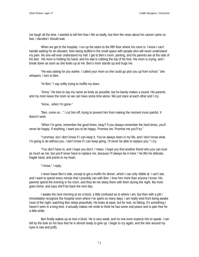me laugh all the time. I wanted to tell him how I felt so badly, but then the news about his cancer came so fast. I decided I should wait.

When we get to the hospital, I run up the stairs to the fifth floor where his room is. I know I can't handle waiting for an elevator, then being stuffed in the small space with people who will never understand my pain. No one will ever understand my hell. I get to Ben's room, panting, and his parents are at the side of his bed. His mom is holding his hand, and his dad is rubbing the top of his foot. His mom is crying, and I break down as soon as she looks up at me. Ben's mom stands up and hugs me.

"He was asking for you earlier. I called your mom so she could go pick you up from school," she whispers. I turn to Ben.

"Hi Ben," I say softly trying to muffle my tears.

"Anna." He tries to say my name as lively as possible, but he barely makes a sound. His parents and my mom leave the room so we can have some time alone. We just stare at each other and I cry.

"Anna…when I'm gone-"

"Ben, come on…" I cut him off, trying to prevent him from making the moment more painful. It doesn't work.

"When I'm gone, remember the good times, okay? If you always remember the hard times, you'll never be happy. If anything, I want you to be happy. Promise me. Promise me you'll try."

"I promise, but I don't know if I can keep it. You've always been in my life, and I don't know what I'm going to do without you. I don't know if I can keep going. I'll never be able to replace you," I cry.

"You don't have to, and I hope you don't. I mean, I hope you find another friend who you can trust as much as me, but you'll never have to replace me, because I'll always be in here." He lifts his delicate, fragile hand, and points to my heart.

"I know," I reply.

I never leave Ben's side, except to get a muffin for dinner, which I can only nibble at. I can't eat, and I want to spend every minute that I possibly can with Ben. I love him more than anyone I know. His parents spend the evening in his room, and they let me sleep there with them during the night. My mom goes home, and says she'll be back the next day.

I awake the next morning at six o'clock, a little confused as to where I am, but then with a jolt I immediately recognize the hospital room where I've spent so many days. I am really tired from being awake most of the night, watching Ben sleep peacefully. He looks at ease, but for real, no faking. It's something I haven't seen in a long time. It actually makes me smile to think he has some real peace and is pain free for a little while.

Ben finally wakes up at nine o'clock. He is very weak, and no one even expects him to speak. I can tell by the look on his face that he is almost ready to give up. I begin to cry again, and the skin around my eyes is raw and puffy.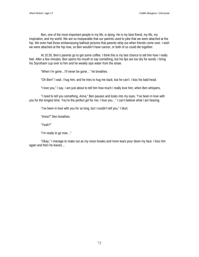Ben, one of the most important people in my life, is dying. He is my best friend, my life, my inspiration, and my world. We are so inseparable that our parents used to joke that we were attached at the hip. We even had those embarrassing bathtub pictures that parents whip out when friends come over. I wish we were attached at the hip now, so Ben wouldn't have cancer, or both of us could die together.

At 10:30, Ben's parents go to get some coffee. I think this is my last chance to tell him how I really feel. After a few minutes, Ben opens his mouth to say something, but his lips are too dry for words. I bring his Styrofoam cup over to him and he weakly sips water from the straw.

"When I'm gone…I'll never be gone…" he breathes.

"Oh Ben!" I wail. I hug him, and he tries to hug me back, but he can't. I kiss his bald head.

"I love you," I say. I am just about to tell him how much I really love him, when Ben whispers,

"I need to tell you something, Anna," Ben pauses and looks into my eyes. "I've been in love with you for the longest time. You're the perfect girl for me; I love you…" I can't believe what I am hearing.

"I've been in love with you for so long, but I couldn't tell you," I blurt.

"Anna?" Ben breathes.

"Yeah?"

"I'm ready to go now…"

"Okay," I manage to make out as my voice breaks and more tears pour down my face. I kiss him again and then he leaves…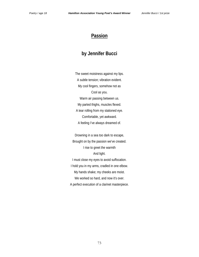#### **Passion**

### **by Jennifer Bucci**

The sweet moistness against my lips. A subtle tension; vibration evident. My cool fingers, somehow not as Cool as you. Warm air passing between us. My parted thighs, muscles flexed. A tear rolling from my stationed eye. Comfortable, yet awkward. A feeling I've always dreamed of.

Drowning in a sea too dark to escape, Brought on by the passion we've created. I rise to greet the warmth And light. I must close my eyes to avoid suffocation. I hold you in my arms, cradled in one elbow. My hands shake; my cheeks are moist. We worked so hard, and now it's over. A perfect execution of a clarinet masterpiece.

73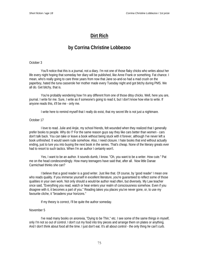### **Dirt Rich**

### **by Corrina Christine Lobbezoo**

#### October 3

You'll notice that this is a journal, not a diary. I'm not one of those flaky chicks who writes about her life every night hoping that someday her diary will be published, like Anne Frank or something. Fat chance. I mean, who's really going to care three years from now that Jane so-and-so had a mad crush on the paperboy, hated the tuna casserole her mother made every Tuesday night and got bitchy during PMS. We all do. Get bitchy, that is.

You're probably wondering how I'm any different from one of those ditsy chicks. Well, here you are, journal. I write for me. Sure, I write as if someone's going to read it, but I don't know how else to write. If anyone reads this, it'll be me - only me.

I write here to remind myself that I really do exist, that my secret life is not just a nightmare.

#### October 17

I love to read. Julie and Anjie, my school friends, felt wounded when they realized that I generally prefer books to people. Why do I? For the same reason guys say they like cars better than women - cars don't talk back. You can take or leave a book without being stuck with it forever, although I've never left a book unfinished. It would seem rude somehow. Also, I need closure. I hate books that end without actually ending, just to lure you into buying the next book in the series. That's cheap. None of the literary greats ever had to resort to such tactics. When I'm an author I certainly won't.

Yes, I want to be an author. It sounds dumb, I know. "Oh, you want to be a writer. How cute." Pat me on the head condescendingly. How many teenagers have said that, after all. Now little Danae Carmichael thinks she can?

I believe that a good reader is a good writer. Just like that. Of course, by 'good reader' I mean one who reads quality. If you immerse yourself in excellent literature, you're guaranteed to reflect some of those qualities in your own work. Not only should a would-be author read often, but diversely. My Law teacher once said, "Everything you read, watch or hear enters your realm of consciousness somehow. Even if you disagree with it, it becomes a part of you." Reading takes you places you've never gone, or, to use my favourite cliche, it "broadens your horizons."

If my theory is correct, I'll be quite the author someday.

#### November 5

I've read many books on anorexia, "Dying to be Thin," etc. I see some of the same things in myself, only I'm not so out of control. I don't cut my food into tiny pieces and arrange them on plates or anything. And I don't think about food all the time. I just don't eat. It's all about control - the only thing *he* can't curb.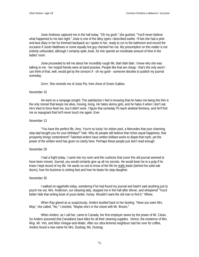Josie Andrews captured me in the hall today. "Oh my gosh," she gushed, "You'll never believe what happened to me last night." Josie is one of the ditsy types I described earlier. I'll bet she had a pinkand-lace diary in her fur-trimmed backpack as I spoke to her, ready to run to the bathroom and record the occasion if Justin Matthews or some equally hot guy checked her out. My presumption on this matter is not entirely unfounded, although I certainly spite Josie, for she spends an inordinate amount of time in the ladies' room.

Josie proceeded to tell me about her incredibly rough life, blah blah blah. I knew why she was talking to me - her insipid friends were at band practise. People like that are cheap - that's the only word I can think of that, well, would get by the censors if - oh my gosh - someone decides to publish my journal someday.

Grrrrr. She reminds me of Josie Pie, from Anne of Green Gables.

#### November 10

*He* went on a rampage tonight. The satisfaction I feel in knowing that *he* hates me being this thin is the only morsel that keeps me alive, moving, living. *He* hates skinny girls, and *he* hates it when I don't eat. *He'*s tried to force feed me, but it didn't work. I figure that someday I'll reach skeletal thinness, and *he*'ll find me so repugnant that he'll never touch me again. Ever.

#### November 13

"You have the perfect life, Amy. You're so lucky! An indoor pool, a Mercedes that your charming step-dad bought you for your birthday!!" Hah. Why do people still believe that riches equal happiness, that prosperity brings contentment? Talented writers have written brilliant works to dispel that myth, yet the power of the written word has given no clarity here. Perhaps these people just don't read enough.

#### November 29

I had a fright today. I came into my room and the cushions that cover this old journal seemed to have been moved. Journal, you would certainly give up all my secrets. *He* would beat me to a pulp if he knew I kept record of my life. *He* wants no one to know of the life he really leads (behind his solid oak doors), how his business is sinking fast and how he beats his step-daughter.

#### November 30

I walked on eggshells today, wondering if he had found my journal and hadn't said anything just to psych me out. Mrs. Anderson, our cleaning lady, stopped me in the hall after dinner, and whispered "You'd better hide that writing book of yours better, honey. Wouldn't want the old man to find it." Whew.

When Ray glared at us suspiciously, Anders bustled back to her dusting. "Have you seen Mrs. Mop," she called. "No," I snorted, "Maybe she's in the closet with Mr. Broom."

When Anders, as I call her, came to Canada, her first employer swore by the power of Mr. Clean. So Anders assumed that Canadians have titles for all their cleaning supplies. Hence, the existence of Mrs. Mop, Mr. Vim, and Miss Vinegar-and-Water. After our ultra-feminist neighbour had her over for coffee, Anders found a new name for Mrs. Dustrag: Ms. Dustrag.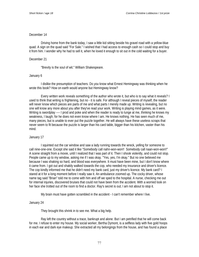#### December 14

Driving home from the bank today, I saw a little kid sitting beside his gravel road with a yellow-blue quad. A sign on the quad said "For Sale." I wished that I had access to enough cash so I could stop and buy it from him. I wonder why he had to sell it, when he loved it enough to sit out in the cold waiting for a buyer.

#### December 21

"Brevity is the soul of wit." William Shakespeare.

#### January 6

I dislike the presumption of teachers. Do *you* know what Ernest Hemingway was thinking when he wrote this book? How on earth would anyone but Hemingway know?

Every written work reveals something of the author who wrote it, but who is to say what it reveals? I used to think that writing is frightening, but no - it is safe. For although I reveal pieces of myself, the reader will never know which pieces are parts of me and what parts I merely made up. Writing is revealing, but no one will know any more about you after they've read your work. Writing is playing mind games, as it were. Writing is swordplay ---- I prod and poke and when the reader is ready to lunge at me, thinking he knows my weakness, I laugh; for he does not even know where I am. He knows nothing. He has seen much of me, many pieces, but is unable to ever put the puzzle together. He will always have these useless scraps that never seem to fit because the puzzle is larger than his card table, bigger than his kitchen, vaster than his mind.

#### January 17

I squinted out the car window and saw a lady running towards the wreck, yelling for someone to call nine-one-one. Except she said it like "Somebody call nahn-won-won!! Somebody call naan-won-won!!" A scene straight from a movie, until I realized that I was part of it. Then I shook violently, and could not stop. People came up to my window, asking me if I was okay. "Yes, yes, I'm okay." But no one believed me because I was shaking so hard, and blood was everywhere. It must have been mine, but I don't know where it came from. I got out and shakily walked towards the cop, who needed my insurance and driver's licence. The cop kindly informed me that he didn't need my bank card, just my driver's licence. My bank card? I stared at it for a long moment before I really saw it. An ambulance zoomed up. The cocky driver, whose name tag said "Brian" told me to come with him and off we sped to the hospital. A nurse, checking me out for internal injuries, discovered bruises that could not have been from the accident. With a worried look on her face she trotted out of the room to find a doctor. Ray's secret is out; I am not about to stop it.

My brain must have gotten scrambled in the accident - I can't remember where I live.

#### January 24

They brought this shrink in to see me. What a big help.

Ray left the country without a trace, bankrupt and alone. But I am petrified that he will come back for me. I refuse to enter my house. My social worker, Bertha Dymont, is a selfless lady with five gold hoops in each ear and dark eye makeup. She extracted all my belongings from the house, and has found a place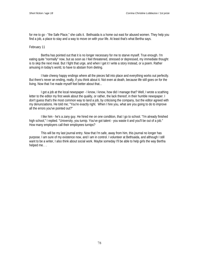for me to go - "the Safe Place," she calls it. Bethsaida is a home out east for abused women. They help you find a job, a place to stay and a way to move on with your life. At least that's what Bertha says.

#### February 11

Bertha has pointed out that it is no longer necessary for me to starve myself. True enough. I'm eating quite "normally" now, but as soon as I feel threatened, stressed or depressed, my immediate thought is to skip the next meal. But I fight that urge, and when I get it I write a story instead, or a poem. Rather amusing in today's world, to have to abstain from dieting.

I hate cheesy happy endings where all the pieces fall into place and everything works out perfectly. But there's never an ending, really, if you think about it. Not even at death, because life still goes on for the living. Now that I've made myself feel better about that...

I got a job at the local newspaper - I know, I know, how did I manage that? Well, I wrote a scathing letter to the editor my first week about the quality, or rather, the lack thereof, in their humble newspaper. I don't guess that's the most common way to land a job, by criticising the company, but the editor agreed with my denunciations. He told me; "You're exactly right. When I hire you, what are you going to do to improve all the errors you've pointed out?"

I like him - he's a zany guy. He hired me on one condition, that I go to school. "I'm already finished high school," I replied. "University, you turnip. You've got talent - you waste it and you'll be out of a job." How many employers call their employees turnips?

This will be my last journal entry. Now that I'm safe, away from him, this journal no longer has purpose. I am sure of my existence now, and I am in control. I volunteer at Bethsaida, and although I still want to be a writer, I also think about social work. Maybe someday I'll be able to help girls the way Bertha helped me. . .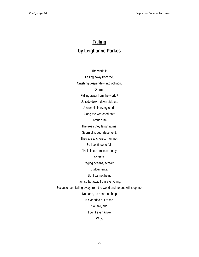# **Falling by Leighanne Parkes**

The world is Falling away from me, Crashing desperately into oblivion, Or am I Falling away from the world? Up side down, down side up, A stumble in every stride Along the wretched path Through life. The trees they laugh at me, Scornfully, but I deserve it. They are anchored, I am not, So I continue to fall. Placid lakes smile serenely, Secrets. Raging oceans, scream, Judgements. But I cannot hear, I am so far away from everything, Because I am falling away from the world and no one will stop me. No hand, no heart, no help Is extended out to me. So I fall, and I don't even know Why.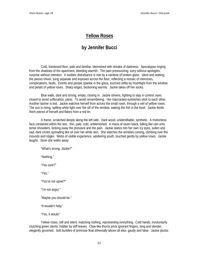### **Yellow Roses**

## **by Jennifer Bucci**

Cold, hardwood floor, pale and familiar, blemished with streaks of darkness. Apocalypse ringing from the shadows of the apartment, bleeding warmth. The pain pressurizing; sorry without apologies, surprise without intention. A sudden disturbance is met by a rainbow of broken glass. silent and waiting, the pieces shiver, lying separate and exposed across the floor, reflecting a mosaic of memories, complications, faults. Events and people sparkle in the glass, touched softly by moonlight from the window and petals of yellow roses. Sharp edges, beckoning warmly. Jackie takes off her socks.

Blue walls, dark and strong; empty, closing in. Jackie shivers, fighting to stay in control; eyes closed to avoid suffocation, panic. To avoid remembering. Her mascaraed eyelashes stick to each other. Another barrier is lost. Jackie watches herself from across the small room, through a veil of yellow roses. The sun is rising, spilling white light over the sill of the window, waking the fish in the bowl. Jackie feeds them pieces of herself and flakes from a red tin.

A frame, scratched deeply along the left side. Dark wood, unidentifiable, synthetic. A motionless face contained within the box: thin, pale, cold, unblemished. A mane of raven black, falling like rain onto tense shoulders, locking away the pressure and the pain. Jackie stares into her own icy eyes, sullen and sad, dark circles spreading like oil over her white skin. She watches the wrinkles coming, climbing over the mounds and ridges. Webs of visible experience, adultering youth, touched gently by yellow roses. Jackie laughs. Soon she walks away.

"What's wrong, Jackie?" "Nothing." "You sure?" "Yes." "You're not upset?" "I'm not angry." "Maybe you should be." "It wouldn't help." "Yes, it would."

Yellow roses, still and silent, matching nothing, representing everything. Cold hands, involuntarily clutching green stems, hidden by stiff leaves. Claw-like thorns prick ignorant fingers, long and slender, elegantly groomed. Soft bundles of primrose float ethereally above all else, gaudy and false. Jackie plucks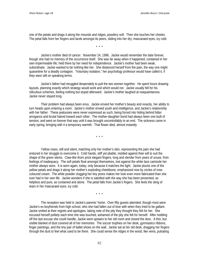one of the petals and drags it along the mounds and ridges, powdery soft. Then she touches her cheeks. The petal falls from her fingers and lands amongst its peers, sliding into her dry, mascaraed eyes, icy cold.

\* \* \*

Jackie's mother died of cancer. November 24, 1996. Jackie would remember the date forever, though she had no memory of the occurrence itself. She was far away when it happened; contained in her own impermeable life; held there by her need for independence. Jackie's mother had been weak, subordinate. Jackie wanted to be nothing like her. She distanced herself from the pain, the way one might quarantine for a deadly contagion. "Voluntary isolation," her psychology professor would have called it, if they were still on speaking terms.

Jackie's father had struggled desperately to pull the two women together. He spent hours drawing layouts, planning exactly which strategy would work and which would not. Jackie usually fell for his ridiculous schemes, feeling nothing but stupid afterward. Jackie's mother laughed at reaquaintances. Jackie never stayed long.

Their problem had always been envy. Jackie envied her mother's beauty and vivacity, her ability to turn heads upon entering a room. Jackie's mother envied youth and intelligence, and Jackie's relationship with her father. These jealousies were never expressed as such, being forced into hiding behind bitter arrogance and brutal hatred toward each other. The mother-daughter bond had always been one built of tension, and went on forever that way until it was brought uncontrollably to an end. The sickness came in early spring, bringing with it a temporary warmth. That flower died, almost instantly.

\* \* \*

Yellow roses, still and silent, matching only her mother's skin, representing the pain she had endured in her struggle to overcome it. Cold hands, stiff yet pliable, molded against their will to suit the shape of the green stems. Claw-like thorn prick elegant fingers, long and slender from years of unuse, from feelings of inadequacy. The soft petals float amongst themselves, lost against the white lace camisole her mother always wore. It is worn again, today, only because it matches the light. Jackie plucks one of the yellow petals and drags it along her mother's exploding cheekbone, emphasized now by circles of rosecoloured cream. The white powder clogging her tiny pores makes her look even more fabricated than she ever had in her own life. Jackie wonders if she is satisfied with the way she has been presented, as helpless and pure, as contained and alone. The petal falls from Jackie's fingers. She feels the sting of tears in her mascaraed eyes, icy cold.

\* \* \*

The reception was held in Jackie's parents' home. Over fifty guests attended, though most were Jackie's ex-boyfriends from high school, who she had fallen out of love with when they tried to be gallant. Jackie smiled at their regrets and apologies, taking note of the pity they thought they felt for her. She excused herself politely each time she was touched, ashamed of the pity she felt for herself. After nodding off the last excuse she could handle, Jackie went upstairs to her old room and closed the door. A thin, but visible blanket of dust covered all of her memories: The soccer trophies on her desk, gymnastics ribbons, finger paintings, and the tiny pair of ballet shoes on the wall. Jackie sat at her old desk, dragging her fingers through the dust to feel what used to be there. She could sense the ridges in the wood, like veins, pulsating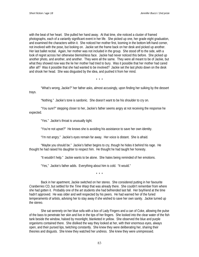with the beat of her heart. She pulled her hand away. At that time, she noticed a cluster of framed photographs, each of a variantly significant event in her life. She picked up one, her grade eight graduation, and examined the characters within it. She noticed her mother first, looming in the bottom left-hand corner, not involved with the pose, but looking on. Jackie set the frame back on her desk and picked up another. Her last ballet recital. Again, her mother was not included in the group. She stood off to the side, with a look of regret across her otherwise blemishless face. Jackie had never noticed this before. She picked up another photo, and another, and another. They were all the same. They were all meant to be of Jackie, but what they showed now was the lie her mother had tried to bury. Was it possible that her mother had cared after all? Was it possible that she had wanted to be involved? Jackie set the last photo down on the desk and shook her head. She was disgusted by the idea, and pushed it from her mind.

\* \* \*

"What's wrong, Jackie?" her father asks, almost accusingly, upon finding her sulking by the dessert trays.

"Nothing." Jackie's tone is sardonic. She doesn't want to be his shoulder to cry on.

"You sure?" stepping closer to her, Jackie's father seems angry at not receiving the response he expected.

"Yes." Jackie's throat is unusually tight.

"You're not upset?" He knows she is avoiding his assistance to save her own identity.

"I'm not angry." Jackie's eyes remain far away. Her voice is distant. She is afraid.

"Maybe you should be." Jackie's father begins to cry, though he hides it behind his rage. He thought he had raised his daughter to respect him. He thought he had taught her honesty.

"It wouldn't help." Jackie wants to be alone. She hates being reminded of her emotions.

"Yes," Jackie's father adds. Everything about him is cold. "It would."

\* \* \*

Back in her apartment, Jackie switched on her stereo. She considered putting in her favourite *Cranberries* CD, but settled for the *Time Warp* that was already there. She couldn't remember from where she had gotten it. Probably one of the art students she had befriended last fall. Her boyfriend at the time hadn't approved. He was older and well respected by his peers. He had warned her of the furied temperaments of artists, advising her to stay away if she wished to save her own sanity. Jackie turned up the stereo.

She sat serenely on her blue sofa with a box of Lady Fingers and a can of Coke, allowing the pulse of the bass to penetrate her skin and live in the tips of her fingers. She looked into the clear water of the fish tank beside the window, haloed by moonlight, blanketed in yellow. She observed the blue and purple organisms contained there. She disliked the way they looked at her, with their enormous eyes, always open, and their pursed lips, twitching constantly. She knew they were deliberating her, sharing their theories and disgusts. She knew they watched her undress. She knew they were unimpressed.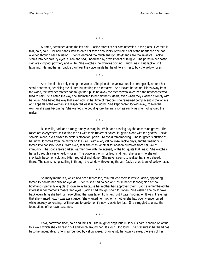\* \* \*

A frame, scratched along the left side. Jackie stares at her own reflection in the glass. Her face is thin, pale, cold. Her hair hangs lifeless onto her tense shoulders, reminding her of the heartache she has avoided through her seclusion. Friends demand too much energy. Boyfriends are too invasive. Jackie stares into her own icy eyes, sullen and sad, underlined by gray smears of fatigue. The pores in her pasty skin are clogged, powdery and white. She watches the wrinkles coming: laugh lines. But Jackie isn't laughing. Her mother is. Jackie can hear the voice inside her head, telling her to buy the yellow roses.

\* \* \*

And she did, but only to stop the voices. She placed the yellow bundles strategically around her small apartment, despising the clutter, but fearing the alternative. She locked her compulsions away from the world, the way her mother had taught her; pushing away the friends who loved her, the boyfriends who tried to help. She hated the way she submitted to her mother's ideals, even when they clashed strongly with her own. She hated the way that even now, in her time of freedom, she remained complacent to the whims and appeals of the woman she respected least in the world. She kept herself locked away, to hide the woman she was becoming. She wished she could ignore the transition as easily as she had ignored the maker.

\* \* \*

Blue walls, dark and strong; empty, closing in. With each passing day the obsession grows. The roses are everywhere, thickening the air with their irreverent pollen, laughing along with the ghosts. Jackie shivers, alone, eyes closed to avoid suffocation, panic. To avoid remembering. The laughter is outside of her now. It comes from the mirror on the wall. With every yellow rose Jackie buys, another memory is forced into consciousness. With every tear she cries, another foundation crumbles from her wall of immunity. The space feels darker, warmer now with the intensity of the bouquets that line it. She watches herself through a veil of yellow roses. The voice in the mirror laughs at her. She sees who she will inevitably become: cold and bitter, regretful and alone. She never seems to realize that she's already there. The sun is rising, spilling in through the window, thickening the air. Jackie cries tears of yellow roses.

\* \* \*

So many memories, which had been repressed, reintroduced themselves to Jackie, appearing forcefully behind her blinking eyelids. Friends she had gained and lost in her childhood; high school boyfriends, perfectly eligible, thrown away because her mother had approved them. Jackie remembered the interest in her mother's mascaraed eyes. Jackie had thought she'd forgotten. She wished she could take back everything she had lost; everything that was taken from her. But it was impossible. It wasn't revenge that she wanted now; it was assistance. She wanted her mother; a mother she had openly envenomed while secretly venerating. With no one to guide her life now, Jackie felt lost. She struggled to grasp the foundations of her own existence.

\* \* \*

Cold, hardwood floor, pale and familiar. The laughter rings loud in Jackie's ears, echoing off of the four walls which she can reach out and touch around her. It's loud…too loud. The pressure in her head has become unbearable. She is surrounded by yellow roses. Staring into her own icy eyes, the eyes of her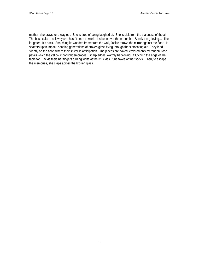mother, she prays for a way out. She is tired of being laughed at. She is sick from the staleness of the air. The boss calls to ask why she hasn't been to work. It's been over three months. Surely the grieving… The laughter. It's back. Snatching its wooden frame from the wall, Jackie throws the mirror against the floor. It shatters upon impact, sending generations of broken glass flying through the suffocating air. They land silently on the floor, where they shiver in anticipation. The pieces are naked, covered only by random rose petals which the yellow moonlight embraces. Sharp edges, warmly beckoning. Clutching the edge of the table top, Jackie feels her fingers turning white at the knuckles. She takes off her socks. Then, to escape the memories, she steps across the broken glass.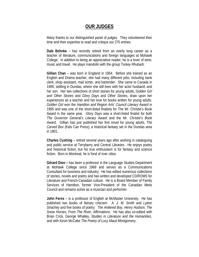## **OUR JUDGES**

Many thanks to our distinguished panel of judges. They volunteered their time and their expertise to read and critique our 275 entries.

**Dale Behnke** – has recently retired from an overly long career as a teacher of literature, communications and foreign languages at Mohawk College. In addition to being an appreciative reader, he is a lover of wine, music and travel. He plays mandolin with the group *Turkey Rhubarb*.

**Gillian Chan** – was born in England in 1954. Before she trained as an English and Drama teacher, she had many different jobs, including bank clerk, shop assistant, mail sorter, and bartender. She came to Canada in 1990, settling in Dundas, where she still lives with her actor husband, and her son. Her two collections of short stories for young adults, *Golden Girl and Other Stories* and *Glory Days and Other Stories*, draw upon her experiences as a teacher and her love for books written for young adults. *Golden Girl* won the *Hamilton and Region Arts' Council Literary Award* in 1995 and was one of the short-listed finalists for The Mr. Christie's Book Award in the same year. *Glory Days* was a short-listed finalist for both *The Governor General's Literary Award* and the *Mr. Christie's Book Award*. Gillian has just published her first novel for young adults, *The Carved Box* (Kids Can Press), a historical fantasy set in the Dundas area in 1801.

**Charles Cushing** – retired several years ago after working in cataloguing and public service at Terryberry and Central Libraries. He enjoys poetry and historical fiction, but his true enthusiasm is for fantasy and science fiction. Born in Montreal, he is fond of river cities.

**Gérard Dion –** has been a professor in the Language Studies Department at Mohawk College since 1969 and serves as a Communications Consultant for business and industry. He has edited numerous collections of stories, novels and poetry and has written and developed CD/ROMS for Literature and French-Canadian culture. He is a Board Member of Family Services of Hamilton, former Vice-President of the Canadian Metis Council and remains active as a musician and performer.

**John Ferns** – is a professor of English at McMaster University. He has published two books of literary criticism: *A. J. M. Smith* and *Lytton Strachey* and five books of poetry: *The Antlered Boy, Henry Hudson, The Snow Horses, From The River, Affirmations*. He has also co-edited with Brian Crick, George Whalley, *Studies in Literature and the Humanities*, and with Kevin McCabe *The Poetry of Lucy Maud Montgomery.*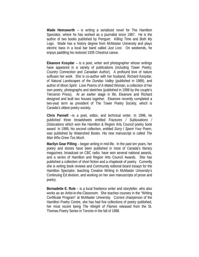**Wade Hemsworth** – is writing a serialized novel for The Hamilton Spectator, where he has worked as a journalist since 1987. He is the author of two books published by Penguin: *Killing Time* and *Both My Legs*. Wade has a history degree from McMaster University and plays electric bass in a local bar band called *Just Lost*. On weekends, he enjoys paddling his restored 1935 Chestnut canoe.

**Eleanore Kosydar** – is a poet, writer and photographer whose writings have appeared in a variety of publications (including *Tower Poetry, Country Connection* and *Canadian Author*). A profound love of nature suffuses her work. She is co-author with her husband, Richard Kosydar, of *Natural Landscapes of the Dundas Valley* (published in 1989), and author of *Moon Spirit: Love Poems of A Mated Woman,* a collection of her own poetry, photographs and sketches (published in 1998 by the couple's Tierceron Press). At an earlier stage in life, Eleanore and Richard designed and built two houses together. Eleanore recently completed a two-year term as president of The Tower Poetry Society, which is Canada's oldest poetry society.

**Chris Pannell** –is a poet, editor, and technical writer. In 1996, he published three broadsheets entitled *Fractures / Subluxations / Dislocations* which won the Hamilton & Region Arts Council poetry book award. In 1999, his second collection, entitled *Sorry I Spent Your Poem*, was published by Watershed Books. His new manuscript is called *The Man Who Grew Too Much*.

**Marilyn Gear Pilling** – began writing in mid-life. In the past ten years, her poetry and stories have been published in most of Canada's literary magazines, broadcast on CBC radio, have won several national awards, and a series of Hamilton and Region Arts Council Awards. She has published a collection of short fiction and a chapbook of poetry. Currently she is writing book reviews and Community editorial board essays for the Hamilton Spectator, teaching Creative Writing in McMaster University's Continuing Ed division, and working on her own manuscripts of prose and poetry.

**Bernadette E. Rule** – is a local freelance writer and storyteller, who also works as an Artist-in-the-Classroom. She teaches courses in the "Writing Certificate Program" at McMaster University. Current chairperson of the Hamilton Poetry Centre, she has had five collections of poetry published, her most recent being *The Weight of Flames* released from the St. Thomas Poetry Series in Toronto in the fall of 1998.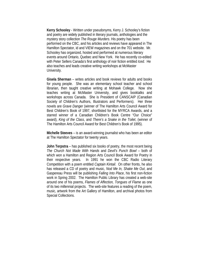**Kerry Schooley** - Written under pseudonyms, Kerry J. Schooley's fiction and poetry are widely published in literary journals, anthologies and the mystery story collection *The Rouge Murders*. His poetry has been performed on the CBC, and his articles and reviews have appeared in The Hamilton Spectator, id and VIEW magazines and on the 701 website. Mr. Schooley has organized, hosted and performed at numerous literary events around Ontario, Quebec and New York. He has recently co-edited with Peter Sellers Canada's first anthology of noir fiction entitled *Iced*. He also teaches and leads creative writing workshops at McMaster University.

**Gisela Sherman** – writes articles and book reviews for adults and books for young people. She was an elementary school teacher and school librarian, then taught creative writing at Mohawk College. Now she teaches writing at McMaster University, and gives booktalks and workshops across Canada. She is President of CANSCAIP (Canadian Society of Children's Authors, Illustrators and Performers). Her three novels are *Grave Danger* (winner of The Hamilton Arts Council Award for Best Children's Book of 1997, shortlisted for the MYRCA Awards, and a starred winner of a Canadian Children's Book Centre "Our Choice" award), *King of the Class*, and *There's a Snake in the Toilet*, (winner of The Hamilton Arts Council Award for Best Children's Book of 1995).

**Michelle Steeves** – is an award-winning journalist who has been an editor at The Hamilton Spectator for twenty years.

**John Terpstra** – has published six books of poetry, the most recent being *The Church Not Made With Hands* and *Devil's Punch Bowl* – both of which won a Hamilton and Region Arts Council Book Award for Poetry in their respective years. In 1991 he won the CBC Radio Literary Competition with a poem entitled *Captain Kintail*. On other fronts, he also has released a CD of poetry and music, *Nod Me In, Shake Me Out*, and Gaspereau Press will be publishing *Falling Into Place*, his first non-fiction work in Spring 2002. The Hamilton Public Library has created a web-site around one of his poems, *Flames of Affection, Tongues of Flame* as one of its two millennial projects. The web-site features a reading of the poem, music, artwork from the Art Gallery of Hamilton, and archival photos from Special Collections.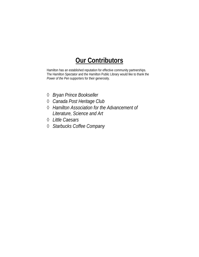## **Our Contributors**

Hamilton has an established reputation for effective community partnerships. The Hamilton Spectator and the Hamilton Public Library would like to thank the *Power of the Pen* supporters for their generosity.

- ◊ *Bryan Prince Bookseller*
- ◊ *Canada Post Heritage Club*
- ◊ *Hamilton Association for the Advancement of Literature, Science and Art*
- ◊ *Little Caesars*
- ◊ *Starbucks Coffee Company*